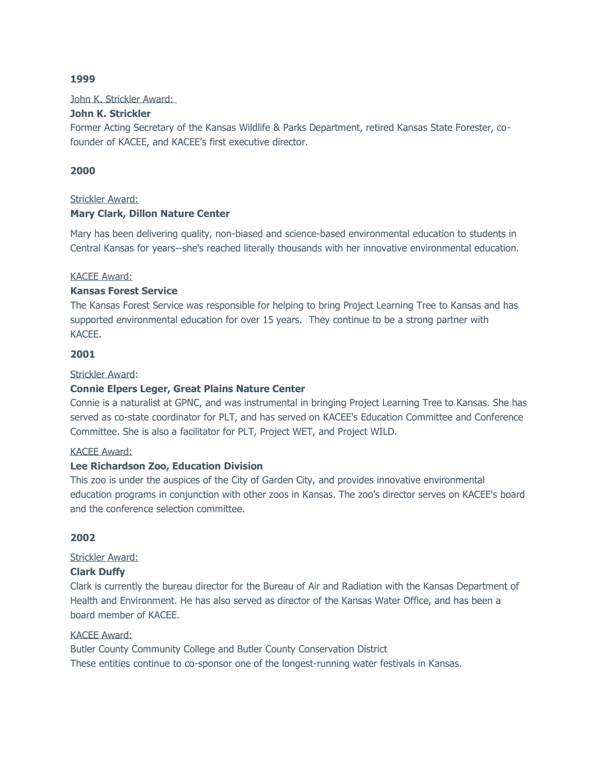## **1999**

John K. Strickler Award:

# **John K. Strickler**

Former Acting Secretary of the Kansas Wildlife & Parks Department, retired Kansas State Forester, cofounder of KACEE, and KACEE's first executive director.

# **2000**

## Strickler Award:

# **Mary Clark, Dillon Nature Center**

Mary has been delivering quality, non-biased and science-based environmental education to students in Central Kansas for years--she's reached literally thousands with her innovative environmental education.

## KACEE Award:

# **Kansas Forest Service**

The Kansas Forest Service was responsible for helping to bring Project Learning Tree to Kansas and has supported environmental education for over 15 years. They continue to be a strong partner with KACEE.

# **2001**

## Strickler Award:

# **Connie Elpers Leger, Great Plains Nature Center**

Connie is a naturalist at GPNC, and was instrumental in bringing Project Learning Tree to Kansas. She has served as co-state coordinator for PLT, and has served on KACEE's Education Committee and Conference Committee. She is also a facilitator for PLT, Project WET, and Project WILD.

# KACEE Award:

# **Lee Richardson Zoo, Education Division**

This zoo is under the auspices of the City of Garden City, and provides innovative environmental education programs in conjunction with other zoos in Kansas. The zoo's director serves on KACEE's board and the conference selection committee.

# **2002**

# Strickler Award:

# **Clark Duffy**

Clark is currently the bureau director for the Bureau of Air and Radiation with the Kansas Department of Health and Environment. He has also served as director of the Kansas Water Office, and has been a board member of KACEE.

### KACEE Award:

Butler County Community College and Butler County Conservation District These entities continue to co-sponsor one of the longest-running water festivals in Kansas.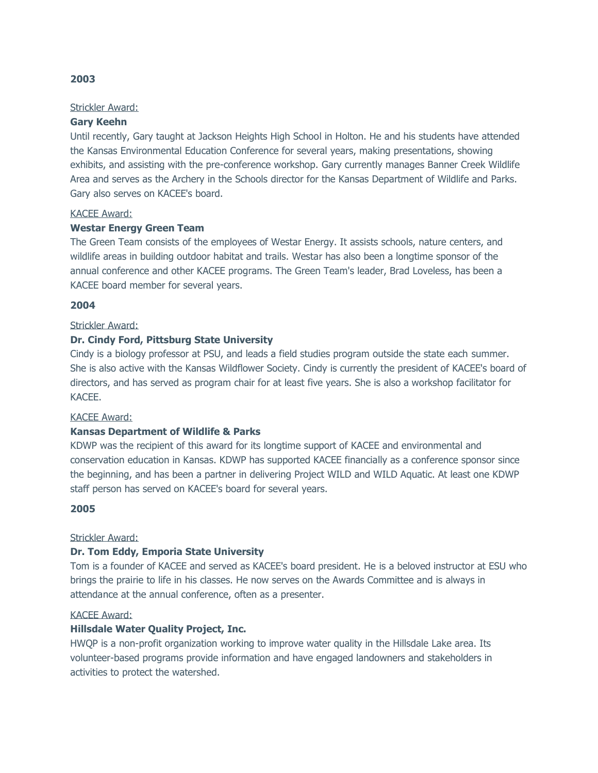# Strickler Award:

# **Gary Keehn**

Until recently, Gary taught at Jackson Heights High School in Holton. He and his students have attended the Kansas Environmental Education Conference for several years, making presentations, showing exhibits, and assisting with the pre-conference workshop. Gary currently manages Banner Creek Wildlife Area and serves as the Archery in the Schools director for the Kansas Department of Wildlife and Parks. Gary also serves on KACEE's board.

## KACEE Award:

# **Westar Energy Green Team**

The Green Team consists of the employees of Westar Energy. It assists schools, nature centers, and wildlife areas in building outdoor habitat and trails. Westar has also been a longtime sponsor of the annual conference and other KACEE programs. The Green Team's leader, Brad Loveless, has been a KACEE board member for several years.

## **2004**

## Strickler Award:

# **Dr. Cindy Ford, Pittsburg State University**

Cindy is a biology professor at PSU, and leads a field studies program outside the state each summer. She is also active with the Kansas Wildflower Society. Cindy is currently the president of KACEE's board of directors, and has served as program chair for at least five years. She is also a workshop facilitator for KACEE.

### KACEE Award:

# **Kansas Department of Wildlife & Parks**

KDWP was the recipient of this award for its longtime support of KACEE and environmental and conservation education in Kansas. KDWP has supported KACEE financially as a conference sponsor since the beginning, and has been a partner in delivering Project WILD and WILD Aquatic. At least one KDWP staff person has served on KACEE's board for several years.

### **2005**

### Strickler Award:

# **Dr. Tom Eddy, Emporia State University**

Tom is a founder of KACEE and served as KACEE's board president. He is a beloved instructor at ESU who brings the prairie to life in his classes. He now serves on the Awards Committee and is always in attendance at the annual conference, often as a presenter.

### KACEE Award:

# **Hillsdale Water Quality Project, Inc.**

HWQP is a non-profit organization working to improve water quality in the Hillsdale Lake area. Its volunteer-based programs provide information and have engaged landowners and stakeholders in activities to protect the watershed.

## **2003**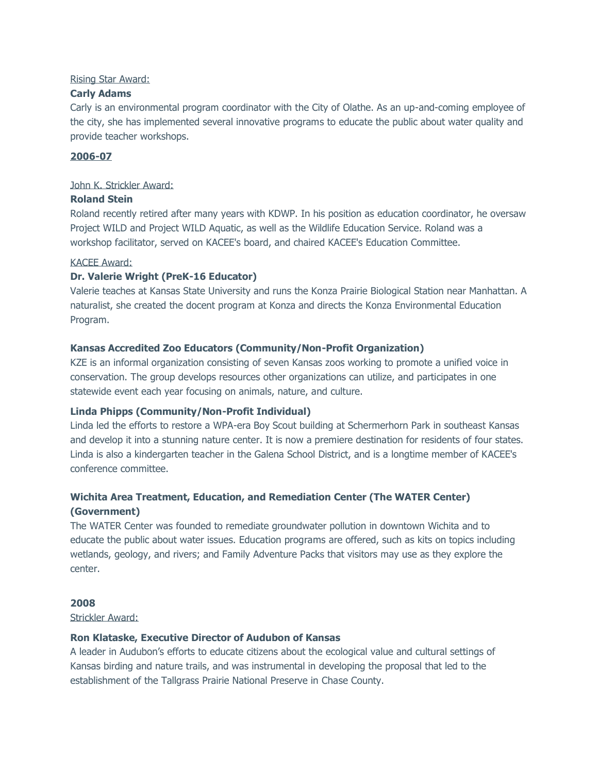# Rising Star Award:

# **Carly Adams**

Carly is an environmental program coordinator with the City of Olathe. As an up-and-coming employee of the city, she has implemented several innovative programs to educate the public about water quality and provide teacher workshops.

# **2006-07**

# John K. Strickler Award:

# **Roland Stein**

Roland recently retired after many years with KDWP. In his position as education coordinator, he oversaw Project WILD and Project WILD Aquatic, as well as the Wildlife Education Service. Roland was a workshop facilitator, served on KACEE's board, and chaired KACEE's Education Committee.

# KACEE Award:

# **Dr. Valerie Wright (PreK-16 Educator)**

Valerie teaches at Kansas State University and runs the Konza Prairie Biological Station near Manhattan. A naturalist, she created the docent program at Konza and directs the Konza Environmental Education Program.

# **Kansas Accredited Zoo Educators (Community/Non-Profit Organization)**

KZE is an informal organization consisting of seven Kansas zoos working to promote a unified voice in conservation. The group develops resources other organizations can utilize, and participates in one statewide event each year focusing on animals, nature, and culture.

# **Linda Phipps (Community/Non-Profit Individual)**

Linda led the efforts to restore a WPA-era Boy Scout building at Schermerhorn Park in southeast Kansas and develop it into a stunning nature center. It is now a premiere destination for residents of four states. Linda is also a kindergarten teacher in the Galena School District, and is a longtime member of KACEE's conference committee.

# **Wichita Area Treatment, Education, and Remediation Center (The WATER Center) (Government)**

The WATER Center was founded to remediate groundwater pollution in downtown Wichita and to educate the public about water issues. Education programs are offered, such as kits on topics including wetlands, geology, and rivers; and Family Adventure Packs that visitors may use as they explore the center.

# **2008**

Strickler Award:

# **Ron Klataske, Executive Director of Audubon of Kansas**

A leader in Audubon's efforts to educate citizens about the ecological value and cultural settings of Kansas birding and nature trails, and was instrumental in developing the proposal that led to the establishment of the Tallgrass Prairie National Preserve in Chase County.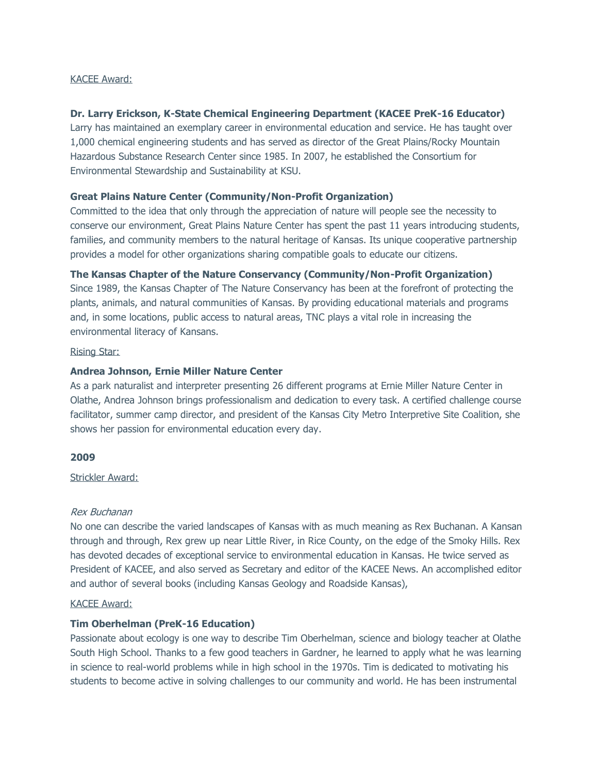### KACEE Award:

# **Dr. Larry Erickson, K-State Chemical Engineering Department (KACEE PreK-16 Educator)**

Larry has maintained an exemplary career in environmental education and service. He has taught over 1,000 chemical engineering students and has served as director of the Great Plains/Rocky Mountain Hazardous Substance Research Center since 1985. In 2007, he established the Consortium for Environmental Stewardship and Sustainability at KSU.

## **Great Plains Nature Center (Community/Non-Profit Organization)**

Committed to the idea that only through the appreciation of nature will people see the necessity to conserve our environment, Great Plains Nature Center has spent the past 11 years introducing students, families, and community members to the natural heritage of Kansas. Its unique cooperative partnership provides a model for other organizations sharing compatible goals to educate our citizens.

# **The Kansas Chapter of the Nature Conservancy (Community/Non-Profit Organization)**

Since 1989, the Kansas Chapter of The Nature Conservancy has been at the forefront of protecting the plants, animals, and natural communities of Kansas. By providing educational materials and programs and, in some locations, public access to natural areas, TNC plays a vital role in increasing the environmental literacy of Kansans.

### Rising Star:

## **Andrea Johnson, Ernie Miller Nature Center**

As a park naturalist and interpreter presenting 26 different programs at Ernie Miller Nature Center in Olathe, Andrea Johnson brings professionalism and dedication to every task. A certified challenge course facilitator, summer camp director, and president of the Kansas City Metro Interpretive Site Coalition, she shows her passion for environmental education every day.

# **2009**

## Strickler Award:

### Rex Buchanan

No one can describe the varied landscapes of Kansas with as much meaning as Rex Buchanan. A Kansan through and through, Rex grew up near Little River, in Rice County, on the edge of the Smoky Hills. Rex has devoted decades of exceptional service to environmental education in Kansas. He twice served as President of KACEE, and also served as Secretary and editor of the KACEE News. An accomplished editor and author of several books (including Kansas Geology and Roadside Kansas),

## KACEE Award:

# **Tim Oberhelman (PreK-16 Education)**

Passionate about ecology is one way to describe Tim Oberhelman, science and biology teacher at Olathe South High School. Thanks to a few good teachers in Gardner, he learned to apply what he was learning in science to real-world problems while in high school in the 1970s. Tim is dedicated to motivating his students to become active in solving challenges to our community and world. He has been instrumental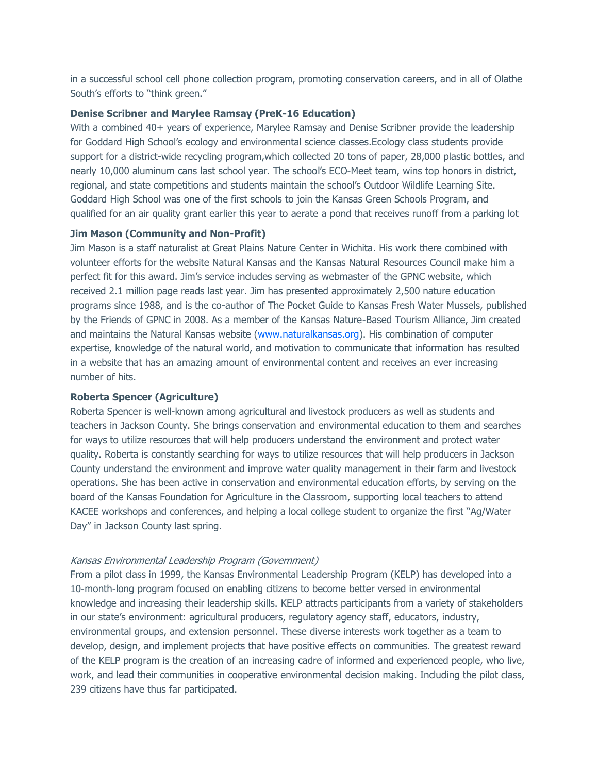in a successful school cell phone collection program, promoting conservation careers, and in all of Olathe South's efforts to "think green."

# **Denise Scribner and Marylee Ramsay (PreK-16 Education)**

With a combined 40+ years of experience, Marylee Ramsay and Denise Scribner provide the leadership for Goddard High School's ecology and environmental science classes.Ecology class students provide support for a district-wide recycling program,which collected 20 tons of paper, 28,000 plastic bottles, and nearly 10,000 aluminum cans last school year. The school's ECO-Meet team, wins top honors in district, regional, and state competitions and students maintain the school's Outdoor Wildlife Learning Site. Goddard High School was one of the first schools to join the Kansas Green Schools Program, and qualified for an air quality grant earlier this year to aerate a pond that receives runoff from a parking lot

### **Jim Mason (Community and Non-Profit)**

Jim Mason is a staff naturalist at Great Plains Nature Center in Wichita. His work there combined with volunteer efforts for the website Natural Kansas and the Kansas Natural Resources Council make him a perfect fit for this award. Jim's service includes serving as webmaster of the GPNC website, which received 2.1 million page reads last year. Jim has presented approximately 2,500 nature education programs since 1988, and is the co-author of The Pocket Guide to Kansas Fresh Water Mussels, published by the Friends of GPNC in 2008. As a member of the Kansas Nature-Based Tourism Alliance, Jim created and maintains the Natural Kansas website [\(www.naturalkansas.org\)](http://www.naturalkansas.org/). His combination of computer expertise, knowledge of the natural world, and motivation to communicate that information has resulted in a website that has an amazing amount of environmental content and receives an ever increasing number of hits.

### **Roberta Spencer (Agriculture)**

Roberta Spencer is well-known among agricultural and livestock producers as well as students and teachers in Jackson County. She brings conservation and environmental education to them and searches for ways to utilize resources that will help producers understand the environment and protect water quality. Roberta is constantly searching for ways to utilize resources that will help producers in Jackson County understand the environment and improve water quality management in their farm and livestock operations. She has been active in conservation and environmental education efforts, by serving on the board of the Kansas Foundation for Agriculture in the Classroom, supporting local teachers to attend KACEE workshops and conferences, and helping a local college student to organize the first "Ag/Water Day" in Jackson County last spring.

#### Kansas Environmental Leadership Program (Government)

From a pilot class in 1999, the Kansas Environmental Leadership Program (KELP) has developed into a 10-month-long program focused on enabling citizens to become better versed in environmental knowledge and increasing their leadership skills. KELP attracts participants from a variety of stakeholders in our state's environment: agricultural producers, regulatory agency staff, educators, industry, environmental groups, and extension personnel. These diverse interests work together as a team to develop, design, and implement projects that have positive effects on communities. The greatest reward of the KELP program is the creation of an increasing cadre of informed and experienced people, who live, work, and lead their communities in cooperative environmental decision making. Including the pilot class, 239 citizens have thus far participated.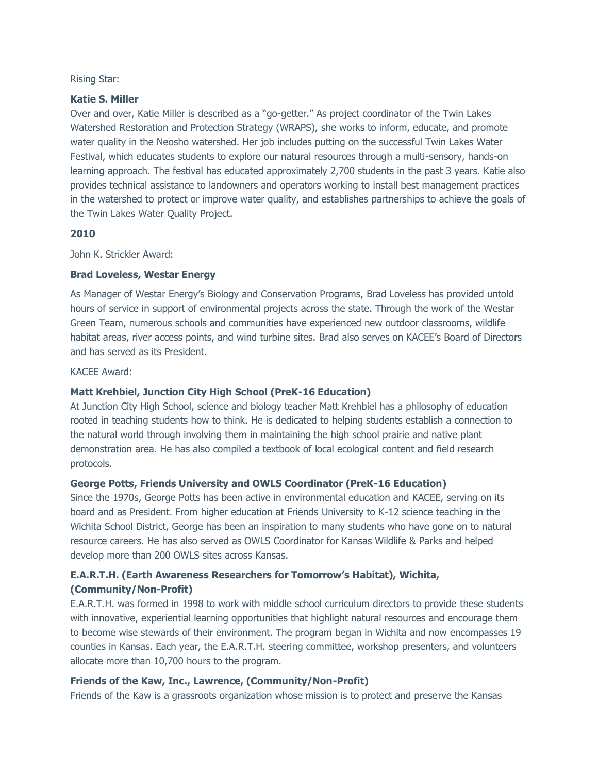### Rising Star:

### **Katie S. Miller**

Over and over, Katie Miller is described as a "go-getter." As project coordinator of the Twin Lakes Watershed Restoration and Protection Strategy (WRAPS), she works to inform, educate, and promote water quality in the Neosho watershed. Her job includes putting on the successful Twin Lakes Water Festival, which educates students to explore our natural resources through a multi-sensory, hands-on learning approach. The festival has educated approximately 2,700 students in the past 3 years. Katie also provides technical assistance to landowners and operators working to install best management practices in the watershed to protect or improve water quality, and establishes partnerships to achieve the goals of the Twin Lakes Water Quality Project.

# **2010**

John K. Strickler Award:

# **Brad Loveless, Westar Energy**

As Manager of Westar Energy's Biology and Conservation Programs, Brad Loveless has provided untold hours of service in support of environmental projects across the state. Through the work of the Westar Green Team, numerous schools and communities have experienced new outdoor classrooms, wildlife habitat areas, river access points, and wind turbine sites. Brad also serves on KACEE's Board of Directors and has served as its President.

KACEE Award:

# **Matt Krehbiel, Junction City High School (PreK-16 Education)**

At Junction City High School, science and biology teacher Matt Krehbiel has a philosophy of education rooted in teaching students how to think. He is dedicated to helping students establish a connection to the natural world through involving them in maintaining the high school prairie and native plant demonstration area. He has also compiled a textbook of local ecological content and field research protocols.

# **George Potts, Friends University and OWLS Coordinator (PreK-16 Education)**

Since the 1970s, George Potts has been active in environmental education and KACEE, serving on its board and as President. From higher education at Friends University to K-12 science teaching in the Wichita School District, George has been an inspiration to many students who have gone on to natural resource careers. He has also served as OWLS Coordinator for Kansas Wildlife & Parks and helped develop more than 200 OWLS sites across Kansas.

# **E.A.R.T.H. (Earth Awareness Researchers for Tomorrow's Habitat), Wichita, (Community/Non-Profit)**

E.A.R.T.H. was formed in 1998 to work with middle school curriculum directors to provide these students with innovative, experiential learning opportunities that highlight natural resources and encourage them to become wise stewards of their environment. The program began in Wichita and now encompasses 19 counties in Kansas. Each year, the E.A.R.T.H. steering committee, workshop presenters, and volunteers allocate more than 10,700 hours to the program.

# **Friends of the Kaw, Inc., Lawrence, (Community/Non-Profit)**

Friends of the Kaw is a grassroots organization whose mission is to protect and preserve the Kansas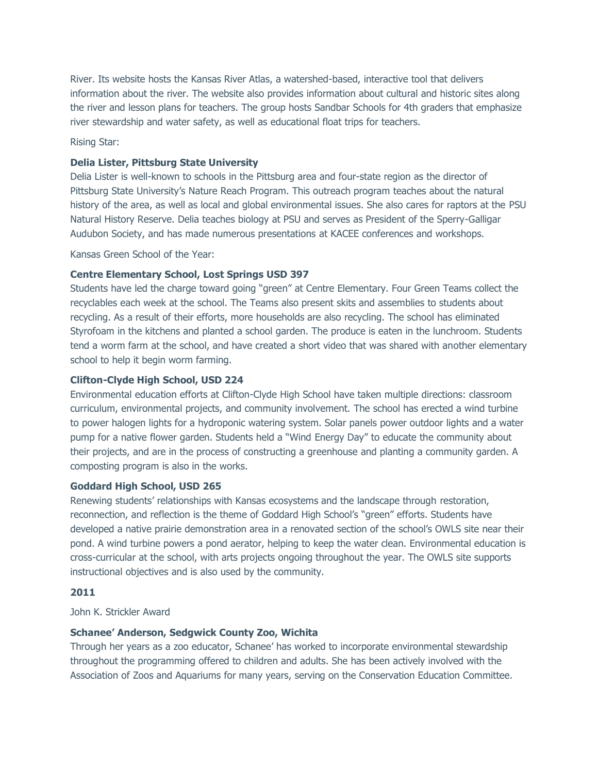River. Its website hosts the Kansas River Atlas, a watershed-based, interactive tool that delivers information about the river. The website also provides information about cultural and historic sites along the river and lesson plans for teachers. The group hosts Sandbar Schools for 4th graders that emphasize river stewardship and water safety, as well as educational float trips for teachers.

Rising Star:

## **Delia Lister, Pittsburg State University**

Delia Lister is well-known to schools in the Pittsburg area and four-state region as the director of Pittsburg State University's Nature Reach Program. This outreach program teaches about the natural history of the area, as well as local and global environmental issues. She also cares for raptors at the PSU Natural History Reserve. Delia teaches biology at PSU and serves as President of the Sperry-Galligar Audubon Society, and has made numerous presentations at KACEE conferences and workshops.

Kansas Green School of the Year:

# **Centre Elementary School, Lost Springs USD 397**

Students have led the charge toward going "green" at Centre Elementary. Four Green Teams collect the recyclables each week at the school. The Teams also present skits and assemblies to students about recycling. As a result of their efforts, more households are also recycling. The school has eliminated Styrofoam in the kitchens and planted a school garden. The produce is eaten in the lunchroom. Students tend a worm farm at the school, and have created a short video that was shared with another elementary school to help it begin worm farming.

## **Clifton-Clyde High School, USD 224**

Environmental education efforts at Clifton-Clyde High School have taken multiple directions: classroom curriculum, environmental projects, and community involvement. The school has erected a wind turbine to power halogen lights for a hydroponic watering system. Solar panels power outdoor lights and a water pump for a native flower garden. Students held a "Wind Energy Day" to educate the community about their projects, and are in the process of constructing a greenhouse and planting a community garden. A composting program is also in the works.

### **Goddard High School, USD 265**

Renewing students' relationships with Kansas ecosystems and the landscape through restoration, reconnection, and reflection is the theme of Goddard High School's "green" efforts. Students have developed a native prairie demonstration area in a renovated section of the school's OWLS site near their pond. A wind turbine powers a pond aerator, helping to keep the water clean. Environmental education is cross-curricular at the school, with arts projects ongoing throughout the year. The OWLS site supports instructional objectives and is also used by the community.

### **2011**

John K. Strickler Award

### **Schanee' Anderson, Sedgwick County Zoo, Wichita**

Through her years as a zoo educator, Schanee' has worked to incorporate environmental stewardship throughout the programming offered to children and adults. She has been actively involved with the Association of Zoos and Aquariums for many years, serving on the Conservation Education Committee.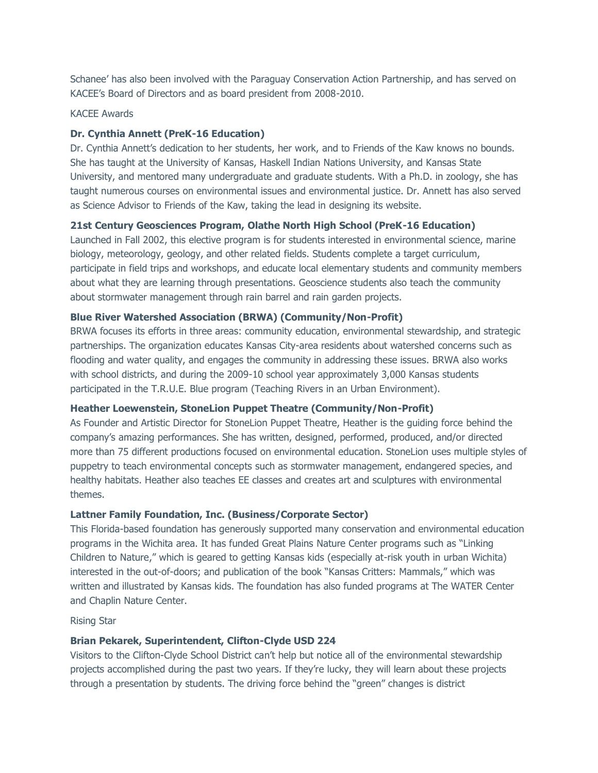Schanee' has also been involved with the Paraguay Conservation Action Partnership, and has served on KACEE's Board of Directors and as board president from 2008-2010.

## KACEE Awards

### **Dr. Cynthia Annett (PreK-16 Education)**

Dr. Cynthia Annett's dedication to her students, her work, and to Friends of the Kaw knows no bounds. She has taught at the University of Kansas, Haskell Indian Nations University, and Kansas State University, and mentored many undergraduate and graduate students. With a Ph.D. in zoology, she has taught numerous courses on environmental issues and environmental justice. Dr. Annett has also served as Science Advisor to Friends of the Kaw, taking the lead in designing its website.

# **21st Century Geosciences Program, Olathe North High School (PreK-16 Education)**

Launched in Fall 2002, this elective program is for students interested in environmental science, marine biology, meteorology, geology, and other related fields. Students complete a target curriculum, participate in field trips and workshops, and educate local elementary students and community members about what they are learning through presentations. Geoscience students also teach the community about stormwater management through rain barrel and rain garden projects.

### **Blue River Watershed Association (BRWA) (Community/Non-Profit)**

BRWA focuses its efforts in three areas: community education, environmental stewardship, and strategic partnerships. The organization educates Kansas City-area residents about watershed concerns such as flooding and water quality, and engages the community in addressing these issues. BRWA also works with school districts, and during the 2009-10 school year approximately 3,000 Kansas students participated in the T.R.U.E. Blue program (Teaching Rivers in an Urban Environment).

# **Heather Loewenstein, StoneLion Puppet Theatre (Community/Non-Profit)**

As Founder and Artistic Director for StoneLion Puppet Theatre, Heather is the guiding force behind the company's amazing performances. She has written, designed, performed, produced, and/or directed more than 75 different productions focused on environmental education. StoneLion uses multiple styles of puppetry to teach environmental concepts such as stormwater management, endangered species, and healthy habitats. Heather also teaches EE classes and creates art and sculptures with environmental themes.

# **Lattner Family Foundation, Inc. (Business/Corporate Sector)**

This Florida-based foundation has generously supported many conservation and environmental education programs in the Wichita area. It has funded Great Plains Nature Center programs such as "Linking Children to Nature," which is geared to getting Kansas kids (especially at-risk youth in urban Wichita) interested in the out-of-doors; and publication of the book "Kansas Critters: Mammals," which was written and illustrated by Kansas kids. The foundation has also funded programs at The WATER Center and Chaplin Nature Center.

Rising Star

### **Brian Pekarek, Superintendent, Clifton-Clyde USD 224**

Visitors to the Clifton-Clyde School District can't help but notice all of the environmental stewardship projects accomplished during the past two years. If they're lucky, they will learn about these projects through a presentation by students. The driving force behind the "green" changes is district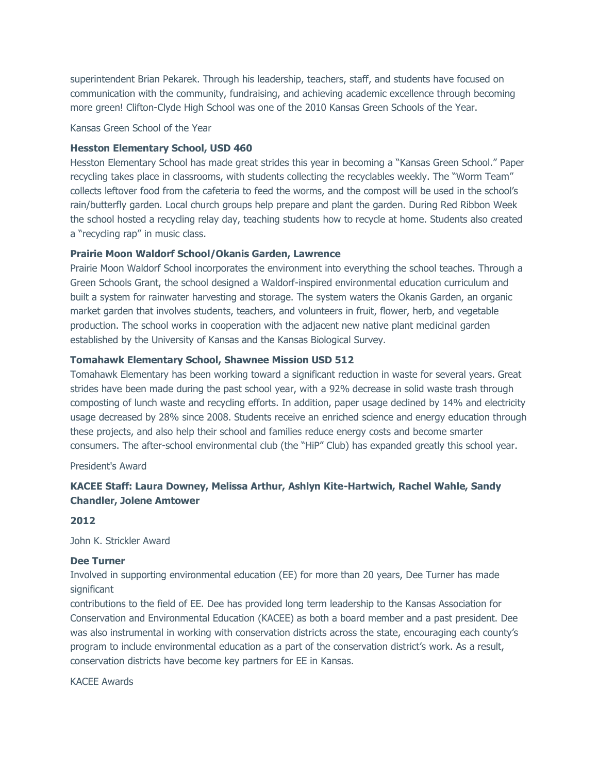superintendent Brian Pekarek. Through his leadership, teachers, staff, and students have focused on communication with the community, fundraising, and achieving academic excellence through becoming more green! Clifton-Clyde High School was one of the 2010 Kansas Green Schools of the Year.

Kansas Green School of the Year

### **Hesston Elementary School, USD 460**

Hesston Elementary School has made great strides this year in becoming a "Kansas Green School." Paper recycling takes place in classrooms, with students collecting the recyclables weekly. The "Worm Team" collects leftover food from the cafeteria to feed the worms, and the compost will be used in the school's rain/butterfly garden. Local church groups help prepare and plant the garden. During Red Ribbon Week the school hosted a recycling relay day, teaching students how to recycle at home. Students also created a "recycling rap" in music class.

### **Prairie Moon Waldorf School/Okanis Garden, Lawrence**

Prairie Moon Waldorf School incorporates the environment into everything the school teaches. Through a Green Schools Grant, the school designed a Waldorf-inspired environmental education curriculum and built a system for rainwater harvesting and storage. The system waters the Okanis Garden, an organic market garden that involves students, teachers, and volunteers in fruit, flower, herb, and vegetable production. The school works in cooperation with the adjacent new native plant medicinal garden established by the University of Kansas and the Kansas Biological Survey.

# **Tomahawk Elementary School, Shawnee Mission USD 512**

Tomahawk Elementary has been working toward a significant reduction in waste for several years. Great strides have been made during the past school year, with a 92% decrease in solid waste trash through composting of lunch waste and recycling efforts. In addition, paper usage declined by 14% and electricity usage decreased by 28% since 2008. Students receive an enriched science and energy education through these projects, and also help their school and families reduce energy costs and become smarter consumers. The after-school environmental club (the "HiP" Club) has expanded greatly this school year.

President's Award

# **KACEE Staff: Laura Downey, Melissa Arthur, Ashlyn Kite-Hartwich, Rachel Wahle, Sandy Chandler, Jolene Amtower**

### **2012**

John K. Strickler Award

#### **Dee Turner**

Involved in supporting environmental education (EE) for more than 20 years, Dee Turner has made significant

contributions to the field of EE. Dee has provided long term leadership to the Kansas Association for Conservation and Environmental Education (KACEE) as both a board member and a past president. Dee was also instrumental in working with conservation districts across the state, encouraging each county's program to include environmental education as a part of the conservation district's work. As a result, conservation districts have become key partners for EE in Kansas.

KACEE Awards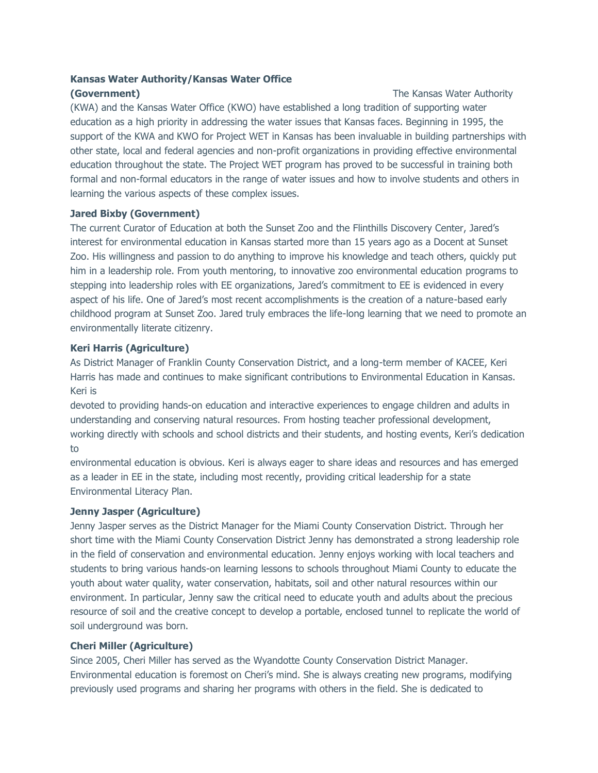# **Kansas Water Authority/Kansas Water Office**

# **(Government)** The Kansas Water Authority

(KWA) and the Kansas Water Office (KWO) have established a long tradition of supporting water education as a high priority in addressing the water issues that Kansas faces. Beginning in 1995, the support of the KWA and KWO for Project WET in Kansas has been invaluable in building partnerships with other state, local and federal agencies and non-profit organizations in providing effective environmental education throughout the state. The Project WET program has proved to be successful in training both formal and non-formal educators in the range of water issues and how to involve students and others in learning the various aspects of these complex issues.

# **Jared Bixby (Government)**

The current Curator of Education at both the Sunset Zoo and the Flinthills Discovery Center, Jared's interest for environmental education in Kansas started more than 15 years ago as a Docent at Sunset Zoo. His willingness and passion to do anything to improve his knowledge and teach others, quickly put him in a leadership role. From youth mentoring, to innovative zoo environmental education programs to stepping into leadership roles with EE organizations, Jared's commitment to EE is evidenced in every aspect of his life. One of Jared's most recent accomplishments is the creation of a nature-based early childhood program at Sunset Zoo. Jared truly embraces the life-long learning that we need to promote an environmentally literate citizenry.

# **Keri Harris (Agriculture)**

As District Manager of Franklin County Conservation District, and a long-term member of KACEE, Keri Harris has made and continues to make significant contributions to Environmental Education in Kansas. Keri is

devoted to providing hands-on education and interactive experiences to engage children and adults in understanding and conserving natural resources. From hosting teacher professional development, working directly with schools and school districts and their students, and hosting events, Keri's dedication to

environmental education is obvious. Keri is always eager to share ideas and resources and has emerged as a leader in EE in the state, including most recently, providing critical leadership for a state Environmental Literacy Plan.

# **Jenny Jasper (Agriculture)**

Jenny Jasper serves as the District Manager for the Miami County Conservation District. Through her short time with the Miami County Conservation District Jenny has demonstrated a strong leadership role in the field of conservation and environmental education. Jenny enjoys working with local teachers and students to bring various hands-on learning lessons to schools throughout Miami County to educate the youth about water quality, water conservation, habitats, soil and other natural resources within our environment. In particular, Jenny saw the critical need to educate youth and adults about the precious resource of soil and the creative concept to develop a portable, enclosed tunnel to replicate the world of soil underground was born.

# **Cheri Miller (Agriculture)**

Since 2005, Cheri Miller has served as the Wyandotte County Conservation District Manager. Environmental education is foremost on Cheri's mind. She is always creating new programs, modifying previously used programs and sharing her programs with others in the field. She is dedicated to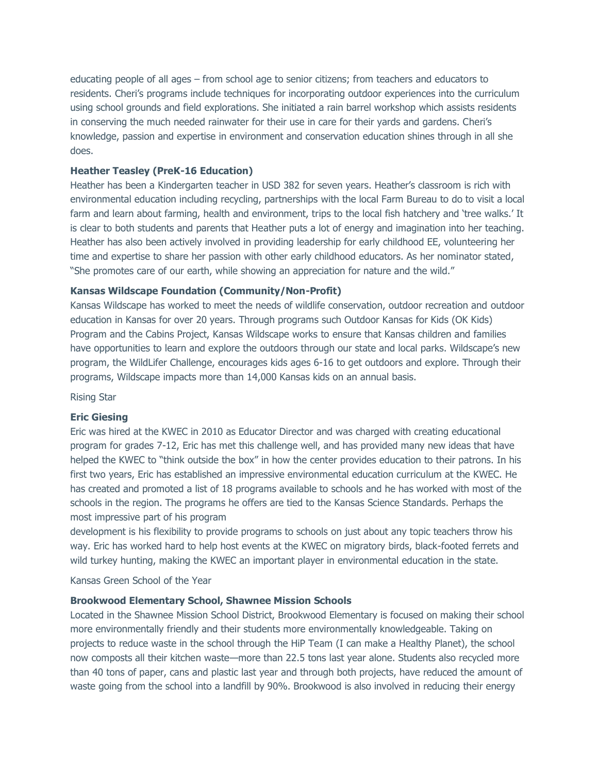educating people of all ages – from school age to senior citizens; from teachers and educators to residents. Cheri's programs include techniques for incorporating outdoor experiences into the curriculum using school grounds and field explorations. She initiated a rain barrel workshop which assists residents in conserving the much needed rainwater for their use in care for their yards and gardens. Cheri's knowledge, passion and expertise in environment and conservation education shines through in all she does.

### **Heather Teasley (PreK-16 Education)**

Heather has been a Kindergarten teacher in USD 382 for seven years. Heather's classroom is rich with environmental education including recycling, partnerships with the local Farm Bureau to do to visit a local farm and learn about farming, health and environment, trips to the local fish hatchery and 'tree walks.' It is clear to both students and parents that Heather puts a lot of energy and imagination into her teaching. Heather has also been actively involved in providing leadership for early childhood EE, volunteering her time and expertise to share her passion with other early childhood educators. As her nominator stated, "She promotes care of our earth, while showing an appreciation for nature and the wild."

### **Kansas Wildscape Foundation (Community/Non-Profit)**

Kansas Wildscape has worked to meet the needs of wildlife conservation, outdoor recreation and outdoor education in Kansas for over 20 years. Through programs such Outdoor Kansas for Kids (OK Kids) Program and the Cabins Project, Kansas Wildscape works to ensure that Kansas children and families have opportunities to learn and explore the outdoors through our state and local parks. Wildscape's new program, the WildLifer Challenge, encourages kids ages 6-16 to get outdoors and explore. Through their programs, Wildscape impacts more than 14,000 Kansas kids on an annual basis.

Rising Star

#### **Eric Giesing**

Eric was hired at the KWEC in 2010 as Educator Director and was charged with creating educational program for grades 7-12, Eric has met this challenge well, and has provided many new ideas that have helped the KWEC to "think outside the box" in how the center provides education to their patrons. In his first two years, Eric has established an impressive environmental education curriculum at the KWEC. He has created and promoted a list of 18 programs available to schools and he has worked with most of the schools in the region. The programs he offers are tied to the Kansas Science Standards. Perhaps the most impressive part of his program

development is his flexibility to provide programs to schools on just about any topic teachers throw his way. Eric has worked hard to help host events at the KWEC on migratory birds, black-footed ferrets and wild turkey hunting, making the KWEC an important player in environmental education in the state.

Kansas Green School of the Year

### **Brookwood Elementary School, Shawnee Mission Schools**

Located in the Shawnee Mission School District, Brookwood Elementary is focused on making their school more environmentally friendly and their students more environmentally knowledgeable. Taking on projects to reduce waste in the school through the HiP Team (I can make a Healthy Planet), the school now composts all their kitchen waste—more than 22.5 tons last year alone. Students also recycled more than 40 tons of paper, cans and plastic last year and through both projects, have reduced the amount of waste going from the school into a landfill by 90%. Brookwood is also involved in reducing their energy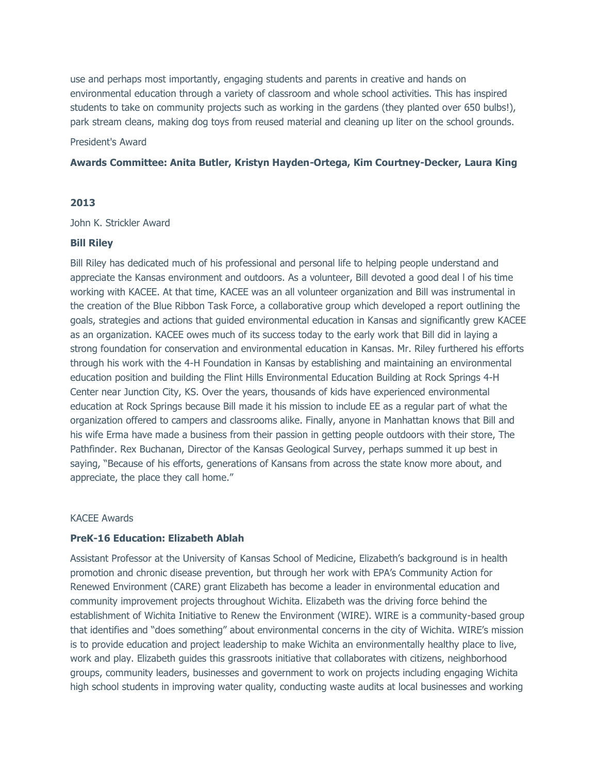use and perhaps most importantly, engaging students and parents in creative and hands on environmental education through a variety of classroom and whole school activities. This has inspired students to take on community projects such as working in the gardens (they planted over 650 bulbs!), park stream cleans, making dog toys from reused material and cleaning up liter on the school grounds.

### President's Award

### **Awards Committee: Anita Butler, Kristyn Hayden-Ortega, Kim Courtney-Decker, Laura King**

### **2013**

### John K. Strickler Award

### **Bill Riley**

Bill Riley has dedicated much of his professional and personal life to helping people understand and appreciate the Kansas environment and outdoors. As a volunteer, Bill devoted a good deal l of his time working with KACEE. At that time, KACEE was an all volunteer organization and Bill was instrumental in the creation of the Blue Ribbon Task Force, a collaborative group which developed a report outlining the goals, strategies and actions that guided environmental education in Kansas and significantly grew KACEE as an organization. KACEE owes much of its success today to the early work that Bill did in laying a strong foundation for conservation and environmental education in Kansas. Mr. Riley furthered his efforts through his work with the 4-H Foundation in Kansas by establishing and maintaining an environmental education position and building the Flint Hills Environmental Education Building at Rock Springs 4-H Center near Junction City, KS. Over the years, thousands of kids have experienced environmental education at Rock Springs because Bill made it his mission to include EE as a regular part of what the organization offered to campers and classrooms alike. Finally, anyone in Manhattan knows that Bill and his wife Erma have made a business from their passion in getting people outdoors with their store, The Pathfinder. Rex Buchanan, Director of the Kansas Geological Survey, perhaps summed it up best in saying, "Because of his efforts, generations of Kansans from across the state know more about, and appreciate, the place they call home."

### KACEE Awards

## **PreK-16 Education: Elizabeth Ablah**

Assistant Professor at the University of Kansas School of Medicine, Elizabeth's background is in health promotion and chronic disease prevention, but through her work with EPA's Community Action for Renewed Environment (CARE) grant Elizabeth has become a leader in environmental education and community improvement projects throughout Wichita. Elizabeth was the driving force behind the establishment of Wichita Initiative to Renew the Environment (WIRE). WIRE is a community-based group that identifies and "does something" about environmental concerns in the city of Wichita. WIRE's mission is to provide education and project leadership to make Wichita an environmentally healthy place to live, work and play. Elizabeth guides this grassroots initiative that collaborates with citizens, neighborhood groups, community leaders, businesses and government to work on projects including engaging Wichita high school students in improving water quality, conducting waste audits at local businesses and working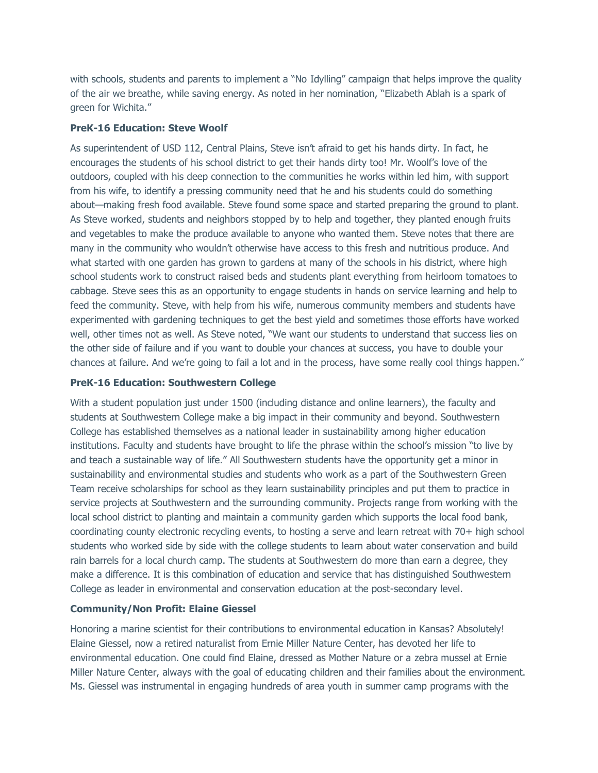with schools, students and parents to implement a "No Idylling" campaign that helps improve the quality of the air we breathe, while saving energy. As noted in her nomination, "Elizabeth Ablah is a spark of green for Wichita."

# **PreK-16 Education: Steve Woolf**

As superintendent of USD 112, Central Plains, Steve isn't afraid to get his hands dirty. In fact, he encourages the students of his school district to get their hands dirty too! Mr. Woolf's love of the outdoors, coupled with his deep connection to the communities he works within led him, with support from his wife, to identify a pressing community need that he and his students could do something about—making fresh food available. Steve found some space and started preparing the ground to plant. As Steve worked, students and neighbors stopped by to help and together, they planted enough fruits and vegetables to make the produce available to anyone who wanted them. Steve notes that there are many in the community who wouldn't otherwise have access to this fresh and nutritious produce. And what started with one garden has grown to gardens at many of the schools in his district, where high school students work to construct raised beds and students plant everything from heirloom tomatoes to cabbage. Steve sees this as an opportunity to engage students in hands on service learning and help to feed the community. Steve, with help from his wife, numerous community members and students have experimented with gardening techniques to get the best yield and sometimes those efforts have worked well, other times not as well. As Steve noted, "We want our students to understand that success lies on the other side of failure and if you want to double your chances at success, you have to double your chances at failure. And we're going to fail a lot and in the process, have some really cool things happen."

### **PreK-16 Education: Southwestern College**

With a student population just under 1500 (including distance and online learners), the faculty and students at Southwestern College make a big impact in their community and beyond. Southwestern College has established themselves as a national leader in sustainability among higher education institutions. Faculty and students have brought to life the phrase within the school's mission "to live by and teach a sustainable way of life." All Southwestern students have the opportunity get a minor in sustainability and environmental studies and students who work as a part of the Southwestern Green Team receive scholarships for school as they learn sustainability principles and put them to practice in service projects at Southwestern and the surrounding community. Projects range from working with the local school district to planting and maintain a community garden which supports the local food bank, coordinating county electronic recycling events, to hosting a serve and learn retreat with 70+ high school students who worked side by side with the college students to learn about water conservation and build rain barrels for a local church camp. The students at Southwestern do more than earn a degree, they make a difference. It is this combination of education and service that has distinguished Southwestern College as leader in environmental and conservation education at the post-secondary level.

### **Community/Non Profit: Elaine Giessel**

Honoring a marine scientist for their contributions to environmental education in Kansas? Absolutely! Elaine Giessel, now a retired naturalist from Ernie Miller Nature Center, has devoted her life to environmental education. One could find Elaine, dressed as Mother Nature or a zebra mussel at Ernie Miller Nature Center, always with the goal of educating children and their families about the environment. Ms. Giessel was instrumental in engaging hundreds of area youth in summer camp programs with the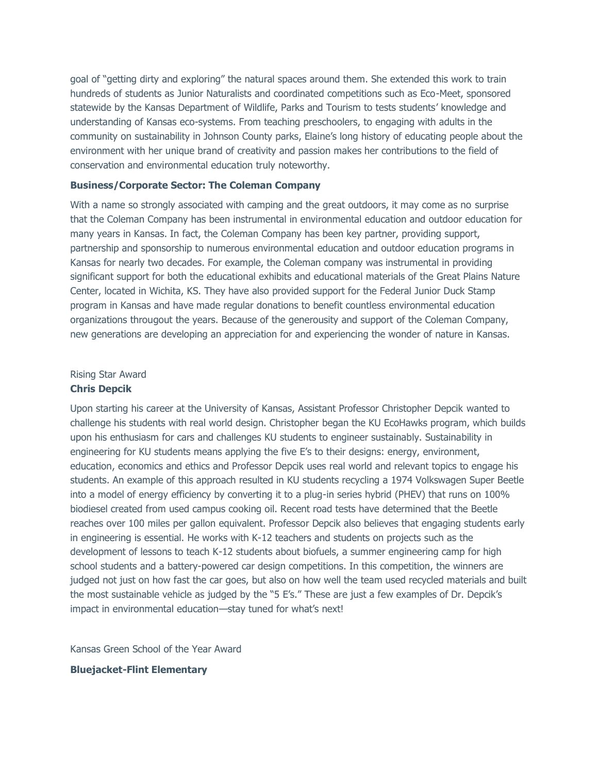goal of "getting dirty and exploring" the natural spaces around them. She extended this work to train hundreds of students as Junior Naturalists and coordinated competitions such as Eco-Meet, sponsored statewide by the Kansas Department of Wildlife, Parks and Tourism to tests students' knowledge and understanding of Kansas eco-systems. From teaching preschoolers, to engaging with adults in the community on sustainability in Johnson County parks, Elaine's long history of educating people about the environment with her unique brand of creativity and passion makes her contributions to the field of conservation and environmental education truly noteworthy.

#### **Business/Corporate Sector: The Coleman Company**

With a name so strongly associated with camping and the great outdoors, it may come as no surprise that the Coleman Company has been instrumental in environmental education and outdoor education for many years in Kansas. In fact, the Coleman Company has been key partner, providing support, partnership and sponsorship to numerous environmental education and outdoor education programs in Kansas for nearly two decades. For example, the Coleman company was instrumental in providing significant support for both the educational exhibits and educational materials of the Great Plains Nature Center, located in Wichita, KS. They have also provided support for the Federal Junior Duck Stamp program in Kansas and have made regular donations to benefit countless environmental education organizations througout the years. Because of the generousity and support of the Coleman Company, new generations are developing an appreciation for and experiencing the wonder of nature in Kansas.

# Rising Star Award **Chris Depcik**

Upon starting his career at the University of Kansas, Assistant Professor Christopher Depcik wanted to challenge his students with real world design. Christopher began the KU EcoHawks program, which builds upon his enthusiasm for cars and challenges KU students to engineer sustainably. Sustainability in engineering for KU students means applying the five E's to their designs: energy, environment, education, economics and ethics and Professor Depcik uses real world and relevant topics to engage his students. An example of this approach resulted in KU students recycling a 1974 Volkswagen Super Beetle into a model of energy efficiency by converting it to a plug-in series hybrid (PHEV) that runs on 100% biodiesel created from used campus cooking oil. Recent road tests have determined that the Beetle reaches over 100 miles per gallon equivalent. Professor Depcik also believes that engaging students early in engineering is essential. He works with K-12 teachers and students on projects such as the development of lessons to teach K-12 students about biofuels, a summer engineering camp for high school students and a battery-powered car design competitions. In this competition, the winners are judged not just on how fast the car goes, but also on how well the team used recycled materials and built the most sustainable vehicle as judged by the "5 E's." These are just a few examples of Dr. Depcik's impact in environmental education—stay tuned for what's next!

Kansas Green School of the Year Award

**Bluejacket-Flint Elementary**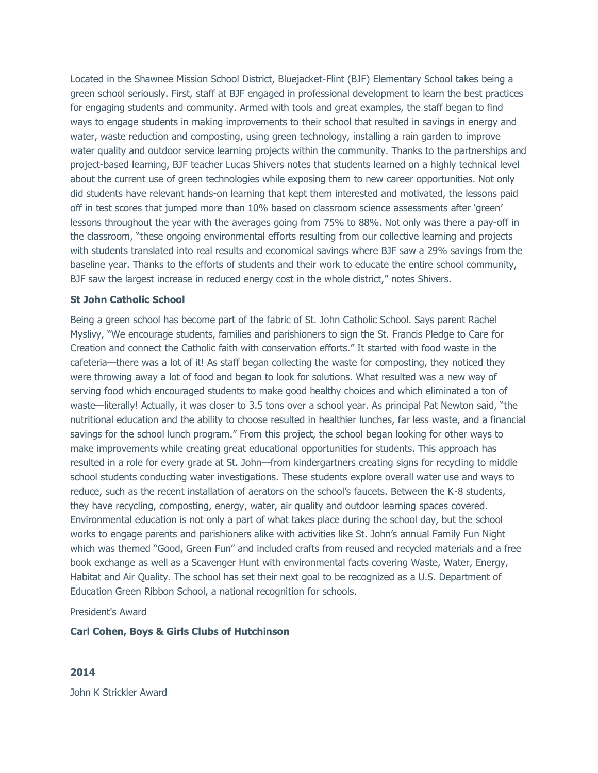Located in the Shawnee Mission School District, Bluejacket-Flint (BJF) Elementary School takes being a green school seriously. First, staff at BJF engaged in professional development to learn the best practices for engaging students and community. Armed with tools and great examples, the staff began to find ways to engage students in making improvements to their school that resulted in savings in energy and water, waste reduction and composting, using green technology, installing a rain garden to improve water quality and outdoor service learning projects within the community. Thanks to the partnerships and project-based learning, BJF teacher Lucas Shivers notes that students learned on a highly technical level about the current use of green technologies while exposing them to new career opportunities. Not only did students have relevant hands-on learning that kept them interested and motivated, the lessons paid off in test scores that jumped more than 10% based on classroom science assessments after 'green' lessons throughout the year with the averages going from 75% to 88%. Not only was there a pay-off in the classroom, "these ongoing environmental efforts resulting from our collective learning and projects with students translated into real results and economical savings where BJF saw a 29% savings from the baseline year. Thanks to the efforts of students and their work to educate the entire school community, BJF saw the largest increase in reduced energy cost in the whole district," notes Shivers.

### **St John Catholic School**

Being a green school has become part of the fabric of St. John Catholic School. Says parent Rachel Myslivy, "We encourage students, families and parishioners to sign the St. Francis Pledge to Care for Creation and connect the Catholic faith with conservation efforts." It started with food waste in the cafeteria—there was a lot of it! As staff began collecting the waste for composting, they noticed they were throwing away a lot of food and began to look for solutions. What resulted was a new way of serving food which encouraged students to make good healthy choices and which eliminated a ton of waste—literally! Actually, it was closer to 3.5 tons over a school year. As principal Pat Newton said, "the nutritional education and the ability to choose resulted in healthier lunches, far less waste, and a financial savings for the school lunch program." From this project, the school began looking for other ways to make improvements while creating great educational opportunities for students. This approach has resulted in a role for every grade at St. John—from kindergartners creating signs for recycling to middle school students conducting water investigations. These students explore overall water use and ways to reduce, such as the recent installation of aerators on the school's faucets. Between the K-8 students, they have recycling, composting, energy, water, air quality and outdoor learning spaces covered. Environmental education is not only a part of what takes place during the school day, but the school works to engage parents and parishioners alike with activities like St. John's annual Family Fun Night which was themed "Good, Green Fun" and included crafts from reused and recycled materials and a free book exchange as well as a Scavenger Hunt with environmental facts covering Waste, Water, Energy, Habitat and Air Quality. The school has set their next goal to be recognized as a U.S. Department of Education Green Ribbon School, a national recognition for schools.

## President's Award

### **Carl Cohen, Boys & Girls Clubs of Hutchinson**

## **2014**

John K Strickler Award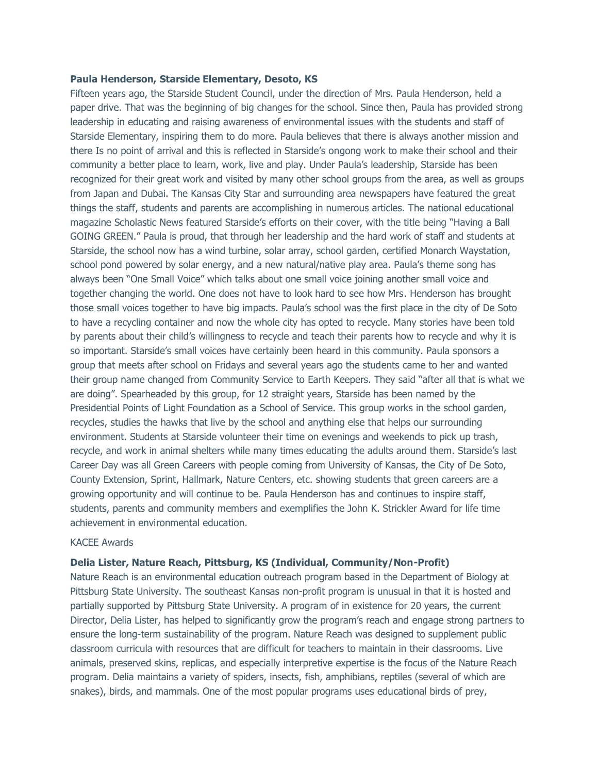#### **Paula Henderson, Starside Elementary, Desoto, KS**

Fifteen years ago, the Starside Student Council, under the direction of Mrs. Paula Henderson, held a paper drive. That was the beginning of big changes for the school. Since then, Paula has provided strong leadership in educating and raising awareness of environmental issues with the students and staff of Starside Elementary, inspiring them to do more. Paula believes that there is always another mission and there Is no point of arrival and this is reflected in Starside's ongong work to make their school and their community a better place to learn, work, live and play. Under Paula's leadership, Starside has been recognized for their great work and visited by many other school groups from the area, as well as groups from Japan and Dubai. The Kansas City Star and surrounding area newspapers have featured the great things the staff, students and parents are accomplishing in numerous articles. The national educational magazine Scholastic News featured Starside's efforts on their cover, with the title being "Having a Ball GOING GREEN." Paula is proud, that through her leadership and the hard work of staff and students at Starside, the school now has a wind turbine, solar array, school garden, certified Monarch Waystation, school pond powered by solar energy, and a new natural/native play area. Paula's theme song has always been "One Small Voice" which talks about one small voice joining another small voice and together changing the world. One does not have to look hard to see how Mrs. Henderson has brought those small voices together to have big impacts. Paula's school was the first place in the city of De Soto to have a recycling container and now the whole city has opted to recycle. Many stories have been told by parents about their child's willingness to recycle and teach their parents how to recycle and why it is so important. Starside's small voices have certainly been heard in this community. Paula sponsors a group that meets after school on Fridays and several years ago the students came to her and wanted their group name changed from Community Service to Earth Keepers. They said "after all that is what we are doing". Spearheaded by this group, for 12 straight years, Starside has been named by the Presidential Points of Light Foundation as a School of Service. This group works in the school garden, recycles, studies the hawks that live by the school and anything else that helps our surrounding environment. Students at Starside volunteer their time on evenings and weekends to pick up trash, recycle, and work in animal shelters while many times educating the adults around them. Starside's last Career Day was all Green Careers with people coming from University of Kansas, the City of De Soto, County Extension, Sprint, Hallmark, Nature Centers, etc. showing students that green careers are a growing opportunity and will continue to be. Paula Henderson has and continues to inspire staff, students, parents and community members and exemplifies the John K. Strickler Award for life time achievement in environmental education.

## KACEE Awards

### **Delia Lister, Nature Reach, Pittsburg, KS (Individual, Community/Non-Profit)**

Nature Reach is an environmental education outreach program based in the Department of Biology at Pittsburg State University. The southeast Kansas non-profit program is unusual in that it is hosted and partially supported by Pittsburg State University. A program of in existence for 20 years, the current Director, Delia Lister, has helped to significantly grow the program's reach and engage strong partners to ensure the long-term sustainability of the program. Nature Reach was designed to supplement public classroom curricula with resources that are difficult for teachers to maintain in their classrooms. Live animals, preserved skins, replicas, and especially interpretive expertise is the focus of the Nature Reach program. Delia maintains a variety of spiders, insects, fish, amphibians, reptiles (several of which are snakes), birds, and mammals. One of the most popular programs uses educational birds of prey,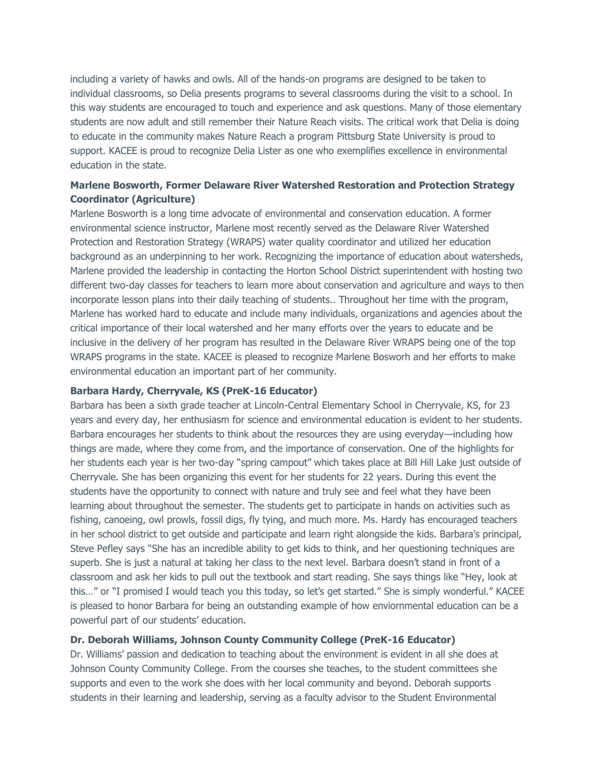including a variety of hawks and owls. All of the hands-on programs are designed to be taken to individual classrooms, so Delia presents programs to several classrooms during the visit to a school. In this way students are encouraged to touch and experience and ask questions. Many of those elementary students are now adult and still remember their Nature Reach visits. The critical work that Delia is doing to educate in the community makes Nature Reach a program Pittsburg State University is proud to support. KACEE is proud to recognize Delia Lister as one who exemplifies excellence in environmental education in the state.

# **Marlene Bosworth, Former Delaware River Watershed Restoration and Protection Strategy Coordinator (Agriculture)**

Marlene Bosworth is a long time advocate of environmental and conservation education. A former environmental science instructor, Marlene most recently served as the Delaware River Watershed Protection and Restoration Strategy (WRAPS) water quality coordinator and utilized her education background as an underpinning to her work. Recognizing the importance of education about watersheds, Marlene provided the leadership in contacting the Horton School District superintendent with hosting two different two-day classes for teachers to learn more about conservation and agriculture and ways to then incorporate lesson plans into their daily teaching of students.. Throughout her time with the program, Marlene has worked hard to educate and include many individuals, organizations and agencies about the critical importance of their local watershed and her many efforts over the years to educate and be inclusive in the delivery of her program has resulted in the Delaware River WRAPS being one of the top WRAPS programs in the state. KACEE is pleased to recognize Marlene Bosworh and her efforts to make environmental education an important part of her community.

### **Barbara Hardy, Cherryvale, KS (PreK-16 Educator)**

Barbara has been a sixth grade teacher at Lincoln-Central Elementary School in Cherryvale, KS, for 23 years and every day, her enthusiasm for science and environmental education is evident to her students. Barbara encourages her students to think about the resources they are using everyday—including how things are made, where they come from, and the importance of conservation. One of the highlights for her students each year is her two-day "spring campout" which takes place at Bill Hill Lake just outside of Cherryvale. She has been organizing this event for her students for 22 years. During this event the students have the opportunity to connect with nature and truly see and feel what they have been learning about throughout the semester. The students get to participate in hands on activities such as fishing, canoeing, owl prowls, fossil digs, fly tying, and much more. Ms. Hardy has encouraged teachers in her school district to get outside and participate and learn right alongside the kids. Barbara's principal, Steve Pefley says "She has an incredible ability to get kids to think, and her questioning techniques are superb. She is just a natural at taking her class to the next level. Barbara doesn't stand in front of a classroom and ask her kids to pull out the textbook and start reading. She says things like "Hey, look at this…" or "I promised I would teach you this today, so let's get started." She is simply wonderful." KACEE is pleased to honor Barbara for being an outstanding example of how enviornmental education can be a powerful part of our students' education.

# **Dr. Deborah Williams, Johnson County Community College (PreK-16 Educator)**

Dr. Williams' passion and dedication to teaching about the environment is evident in all she does at Johnson County Community College. From the courses she teaches, to the student committees she supports and even to the work she does with her local community and beyond. Deborah supports students in their learning and leadership, serving as a faculty advisor to the Student Environmental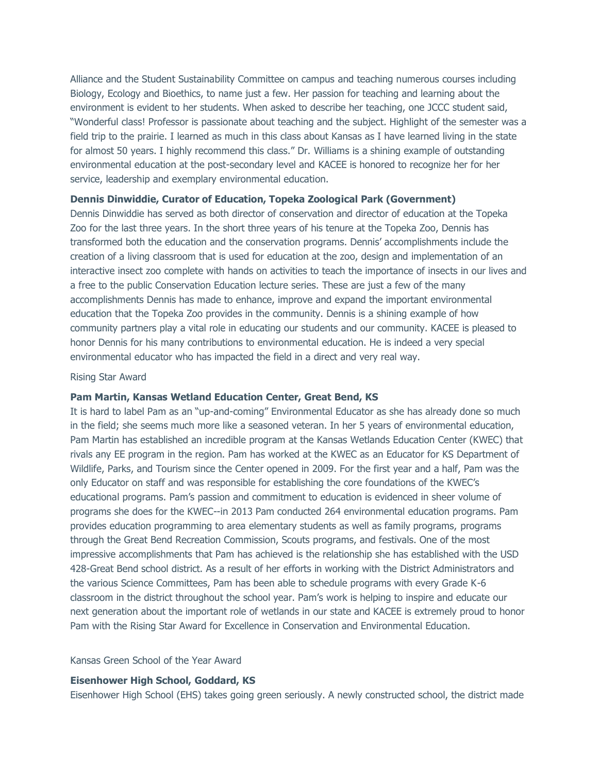Alliance and the Student Sustainability Committee on campus and teaching numerous courses including Biology, Ecology and Bioethics, to name just a few. Her passion for teaching and learning about the environment is evident to her students. When asked to describe her teaching, one JCCC student said, "Wonderful class! Professor is passionate about teaching and the subject. Highlight of the semester was a field trip to the prairie. I learned as much in this class about Kansas as I have learned living in the state for almost 50 years. I highly recommend this class." Dr. Williams is a shining example of outstanding environmental education at the post-secondary level and KACEE is honored to recognize her for her service, leadership and exemplary environmental education.

## **Dennis Dinwiddie, Curator of Education, Topeka Zoological Park (Government)**

Dennis Dinwiddie has served as both director of conservation and director of education at the Topeka Zoo for the last three years. In the short three years of his tenure at the Topeka Zoo, Dennis has transformed both the education and the conservation programs. Dennis' accomplishments include the creation of a living classroom that is used for education at the zoo, design and implementation of an interactive insect zoo complete with hands on activities to teach the importance of insects in our lives and a free to the public Conservation Education lecture series. These are just a few of the many accomplishments Dennis has made to enhance, improve and expand the important environmental education that the Topeka Zoo provides in the community. Dennis is a shining example of how community partners play a vital role in educating our students and our community. KACEE is pleased to honor Dennis for his many contributions to environmental education. He is indeed a very special environmental educator who has impacted the field in a direct and very real way.

#### Rising Star Award

### **Pam Martin, Kansas Wetland Education Center, Great Bend, KS**

It is hard to label Pam as an "up-and-coming" Environmental Educator as she has already done so much in the field; she seems much more like a seasoned veteran. In her 5 years of environmental education, Pam Martin has established an incredible program at the Kansas Wetlands Education Center (KWEC) that rivals any EE program in the region. Pam has worked at the KWEC as an Educator for KS Department of Wildlife, Parks, and Tourism since the Center opened in 2009. For the first year and a half, Pam was the only Educator on staff and was responsible for establishing the core foundations of the KWEC's educational programs. Pam's passion and commitment to education is evidenced in sheer volume of programs she does for the KWEC--in 2013 Pam conducted 264 environmental education programs. Pam provides education programming to area elementary students as well as family programs, programs through the Great Bend Recreation Commission, Scouts programs, and festivals. One of the most impressive accomplishments that Pam has achieved is the relationship she has established with the USD 428-Great Bend school district. As a result of her efforts in working with the District Administrators and the various Science Committees, Pam has been able to schedule programs with every Grade K-6 classroom in the district throughout the school year. Pam's work is helping to inspire and educate our next generation about the important role of wetlands in our state and KACEE is extremely proud to honor Pam with the Rising Star Award for Excellence in Conservation and Environmental Education.

# Kansas Green School of the Year Award

### **Eisenhower High School, Goddard, KS**

Eisenhower High School (EHS) takes going green seriously. A newly constructed school, the district made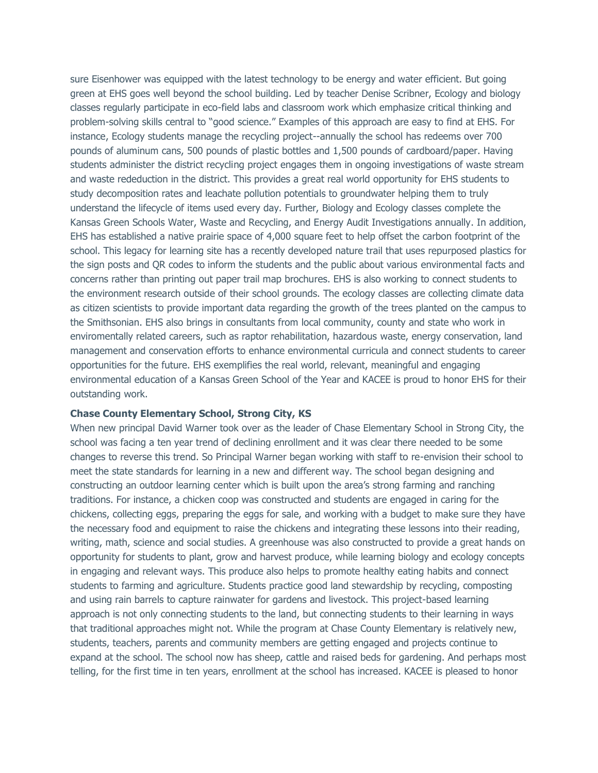sure Eisenhower was equipped with the latest technology to be energy and water efficient. But going green at EHS goes well beyond the school building. Led by teacher Denise Scribner, Ecology and biology classes regularly participate in eco-field labs and classroom work which emphasize critical thinking and problem-solving skills central to "good science." Examples of this approach are easy to find at EHS. For instance, Ecology students manage the recycling project--annually the school has redeems over 700 pounds of aluminum cans, 500 pounds of plastic bottles and 1,500 pounds of cardboard/paper. Having students administer the district recycling project engages them in ongoing investigations of waste stream and waste rededuction in the district. This provides a great real world opportunity for EHS students to study decomposition rates and leachate pollution potentials to groundwater helping them to truly understand the lifecycle of items used every day. Further, Biology and Ecology classes complete the Kansas Green Schools Water, Waste and Recycling, and Energy Audit Investigations annually. In addition, EHS has established a native prairie space of 4,000 square feet to help offset the carbon footprint of the school. This legacy for learning site has a recently developed nature trail that uses repurposed plastics for the sign posts and QR codes to inform the students and the public about various environmental facts and concerns rather than printing out paper trail map brochures. EHS is also working to connect students to the environment research outside of their school grounds. The ecology classes are collecting climate data as citizen scientists to provide important data regarding the growth of the trees planted on the campus to the Smithsonian. EHS also brings in consultants from local community, county and state who work in enviromentally related careers, such as raptor rehabilitation, hazardous waste, energy conservation, land management and conservation efforts to enhance environmental curricula and connect students to career opportunities for the future. EHS exemplifies the real world, relevant, meaningful and engaging environmental education of a Kansas Green School of the Year and KACEE is proud to honor EHS for their outstanding work.

### **Chase County Elementary School, Strong City, KS**

When new principal David Warner took over as the leader of Chase Elementary School in Strong City, the school was facing a ten year trend of declining enrollment and it was clear there needed to be some changes to reverse this trend. So Principal Warner began working with staff to re-envision their school to meet the state standards for learning in a new and different way. The school began designing and constructing an outdoor learning center which is built upon the area's strong farming and ranching traditions. For instance, a chicken coop was constructed and students are engaged in caring for the chickens, collecting eggs, preparing the eggs for sale, and working with a budget to make sure they have the necessary food and equipment to raise the chickens and integrating these lessons into their reading, writing, math, science and social studies. A greenhouse was also constructed to provide a great hands on opportunity for students to plant, grow and harvest produce, while learning biology and ecology concepts in engaging and relevant ways. This produce also helps to promote healthy eating habits and connect students to farming and agriculture. Students practice good land stewardship by recycling, composting and using rain barrels to capture rainwater for gardens and livestock. This project-based learning approach is not only connecting students to the land, but connecting students to their learning in ways that traditional approaches might not. While the program at Chase County Elementary is relatively new, students, teachers, parents and community members are getting engaged and projects continue to expand at the school. The school now has sheep, cattle and raised beds for gardening. And perhaps most telling, for the first time in ten years, enrollment at the school has increased. KACEE is pleased to honor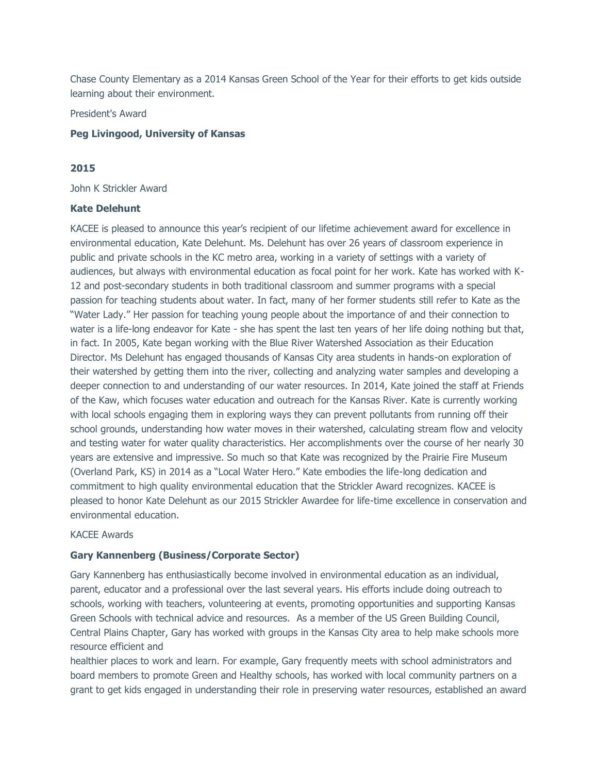Chase County Elementary as a 2014 Kansas Green School of the Year for their efforts to get kids outside learning about their environment.

President's Award

### **Peg Livingood, University of Kansas**

# **2015**

John K Strickler Award

#### **Kate Delehunt**

KACEE is pleased to announce this year's recipient of our lifetime achievement award for excellence in environmental education, Kate Delehunt. Ms. Delehunt has over 26 years of classroom experience in public and private schools in the KC metro area, working in a variety of settings with a variety of audiences, but always with environmental education as focal point for her work. Kate has worked with K-12 and post-secondary students in both traditional classroom and summer programs with a special passion for teaching students about water. In fact, many of her former students still refer to Kate as the "Water Lady." Her passion for teaching young people about the importance of and their connection to water is a life-long endeavor for Kate - she has spent the last ten years of her life doing nothing but that, in fact. In 2005, Kate began working with the Blue River Watershed Association as their Education Director. Ms Delehunt has engaged thousands of Kansas City area students in hands-on exploration of their watershed by getting them into the river, collecting and analyzing water samples and developing a deeper connection to and understanding of our water resources. In 2014, Kate joined the staff at Friends of the Kaw, which focuses water education and outreach for the Kansas River. Kate is currently working with local schools engaging them in exploring ways they can prevent pollutants from running off their school grounds, understanding how water moves in their watershed, calculating stream flow and velocity and testing water for water quality characteristics. Her accomplishments over the course of her nearly 30 years are extensive and impressive. So much so that Kate was recognized by the Prairie Fire Museum (Overland Park, KS) in 2014 as a "Local Water Hero." Kate embodies the life-long dedication and commitment to high quality environmental education that the Strickler Award recognizes. KACEE is pleased to honor Kate Delehunt as our 2015 Strickler Awardee for life-time excellence in conservation and environmental education.

#### KACEE Awards

### **Gary Kannenberg (Business/Corporate Sector)**

Gary Kannenberg has enthusiastically become involved in environmental education as an individual, parent, educator and a professional over the last several years. His efforts include doing outreach to schools, working with teachers, volunteering at events, promoting opportunities and supporting Kansas Green Schools with technical advice and resources. As a member of the US Green Building Council, Central Plains Chapter, Gary has worked with groups in the Kansas City area to help make schools more resource efficient and

healthier places to work and learn. For example, Gary frequently meets with school administrators and board members to promote Green and Healthy schools, has worked with local community partners on a grant to get kids engaged in understanding their role in preserving water resources, established an award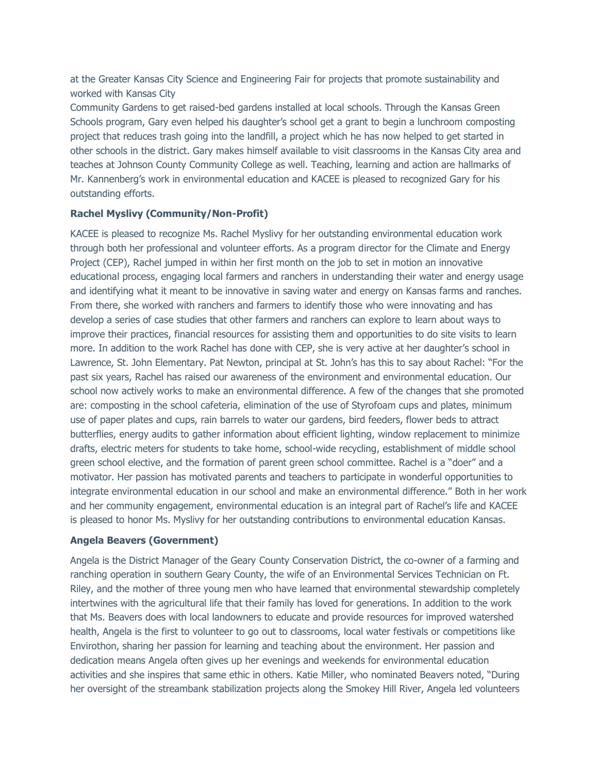at the Greater Kansas City Science and Engineering Fair for projects that promote sustainability and worked with Kansas City

Community Gardens to get raised-bed gardens installed at local schools. Through the Kansas Green Schools program, Gary even helped his daughter's school get a grant to begin a lunchroom composting project that reduces trash going into the landfill, a project which he has now helped to get started in other schools in the district. Gary makes himself available to visit classrooms in the Kansas City area and teaches at Johnson County Community College as well. Teaching, learning and action are hallmarks of Mr. Kannenberg's work in environmental education and KACEE is pleased to recognized Gary for his outstanding efforts.

### **Rachel Myslivy (Community/Non-Profit)**

KACEE is pleased to recognize Ms. Rachel Myslivy for her outstanding environmental education work through both her professional and volunteer efforts. As a program director for the Climate and Energy Project (CEP), Rachel jumped in within her first month on the job to set in motion an innovative educational process, engaging local farmers and ranchers in understanding their water and energy usage and identifying what it meant to be innovative in saving water and energy on Kansas farms and ranches. From there, she worked with ranchers and farmers to identify those who were innovating and has develop a series of case studies that other farmers and ranchers can explore to learn about ways to improve their practices, financial resources for assisting them and opportunities to do site visits to learn more. In addition to the work Rachel has done with CEP, she is very active at her daughter's school in Lawrence, St. John Elementary. Pat Newton, principal at St. John's has this to say about Rachel: "For the past six years, Rachel has raised our awareness of the environment and environmental education. Our school now actively works to make an environmental difference. A few of the changes that she promoted are: composting in the school cafeteria, elimination of the use of Styrofoam cups and plates, minimum use of paper plates and cups, rain barrels to water our gardens, bird feeders, flower beds to attract butterflies, energy audits to gather information about efficient lighting, window replacement to minimize drafts, electric meters for students to take home, school-wide recycling, establishment of middle school green school elective, and the formation of parent green school committee. Rachel is a "doer" and a motivator. Her passion has motivated parents and teachers to participate in wonderful opportunities to integrate environmental education in our school and make an environmental difference." Both in her work and her community engagement, environmental education is an integral part of Rachel's life and KACEE is pleased to honor Ms. Myslivy for her outstanding contributions to environmental education Kansas.

### **Angela Beavers (Government)**

Angela is the District Manager of the Geary County Conservation District, the co-owner of a farming and ranching operation in southern Geary County, the wife of an Environmental Services Technician on Ft. Riley, and the mother of three young men who have learned that environmental stewardship completely intertwines with the agricultural life that their family has loved for generations. In addition to the work that Ms. Beavers does with local landowners to educate and provide resources for improved watershed health, Angela is the first to volunteer to go out to classrooms, local water festivals or competitions like Envirothon, sharing her passion for learning and teaching about the environment. Her passion and dedication means Angela often gives up her evenings and weekends for environmental education activities and she inspires that same ethic in others. Katie Miller, who nominated Beavers noted, "During her oversight of the streambank stabilization projects along the Smokey Hill River, Angela led volunteers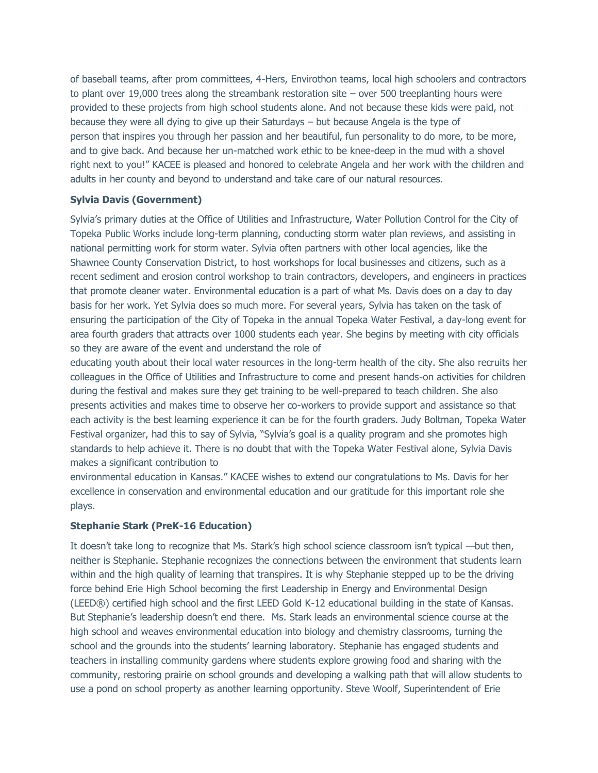of baseball teams, after prom committees, 4-Hers, Envirothon teams, local high schoolers and contractors to plant over 19,000 trees along the streambank restoration site – over 500 treeplanting hours were provided to these projects from high school students alone. And not because these kids were paid, not because they were all dying to give up their Saturdays – but because Angela is the type of person that inspires you through her passion and her beautiful, fun personality to do more, to be more, and to give back. And because her un-matched work ethic to be knee-deep in the mud with a shovel right next to you!" KACEE is pleased and honored to celebrate Angela and her work with the children and adults in her county and beyond to understand and take care of our natural resources.

# **Sylvia Davis (Government)**

Sylvia's primary duties at the Office of Utilities and Infrastructure, Water Pollution Control for the City of Topeka Public Works include long-term planning, conducting storm water plan reviews, and assisting in national permitting work for storm water. Sylvia often partners with other local agencies, like the Shawnee County Conservation District, to host workshops for local businesses and citizens, such as a recent sediment and erosion control workshop to train contractors, developers, and engineers in practices that promote cleaner water. Environmental education is a part of what Ms. Davis does on a day to day basis for her work. Yet Sylvia does so much more. For several years, Sylvia has taken on the task of ensuring the participation of the City of Topeka in the annual Topeka Water Festival, a day-long event for area fourth graders that attracts over 1000 students each year. She begins by meeting with city officials so they are aware of the event and understand the role of

educating youth about their local water resources in the long-term health of the city. She also recruits her colleagues in the Office of Utilities and Infrastructure to come and present hands-on activities for children during the festival and makes sure they get training to be well-prepared to teach children. She also presents activities and makes time to observe her co-workers to provide support and assistance so that each activity is the best learning experience it can be for the fourth graders. Judy Boltman, Topeka Water Festival organizer, had this to say of Sylvia, "Sylvia's goal is a quality program and she promotes high standards to help achieve it. There is no doubt that with the Topeka Water Festival alone, Sylvia Davis makes a significant contribution to

environmental education in Kansas." KACEE wishes to extend our congratulations to Ms. Davis for her excellence in conservation and environmental education and our gratitude for this important role she plays.

# **Stephanie Stark (PreK-16 Education)**

It doesn't take long to recognize that Ms. Stark's high school science classroom isn't typical —but then, neither is Stephanie. Stephanie recognizes the connections between the environment that students learn within and the high quality of learning that transpires. It is why Stephanie stepped up to be the driving force behind Erie High School becoming the first Leadership in Energy and Environmental Design (LEED®) certified high school and the first LEED Gold K-12 educational building in the state of Kansas. But Stephanie's leadership doesn't end there. Ms. Stark leads an environmental science course at the high school and weaves environmental education into biology and chemistry classrooms, turning the school and the grounds into the students' learning laboratory. Stephanie has engaged students and teachers in installing community gardens where students explore growing food and sharing with the community, restoring prairie on school grounds and developing a walking path that will allow students to use a pond on school property as another learning opportunity. Steve Woolf, Superintendent of Erie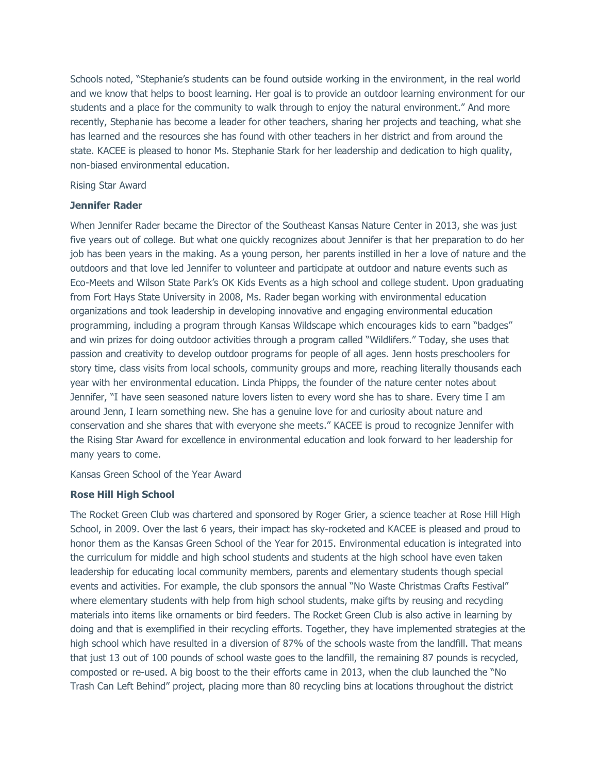Schools noted, "Stephanie's students can be found outside working in the environment, in the real world and we know that helps to boost learning. Her goal is to provide an outdoor learning environment for our students and a place for the community to walk through to enjoy the natural environment." And more recently, Stephanie has become a leader for other teachers, sharing her projects and teaching, what she has learned and the resources she has found with other teachers in her district and from around the state. KACEE is pleased to honor Ms. Stephanie Stark for her leadership and dedication to high quality, non-biased environmental education.

### Rising Star Award

### **Jennifer Rader**

When Jennifer Rader became the Director of the Southeast Kansas Nature Center in 2013, she was just five years out of college. But what one quickly recognizes about Jennifer is that her preparation to do her job has been years in the making. As a young person, her parents instilled in her a love of nature and the outdoors and that love led Jennifer to volunteer and participate at outdoor and nature events such as Eco-Meets and Wilson State Park's OK Kids Events as a high school and college student. Upon graduating from Fort Hays State University in 2008, Ms. Rader began working with environmental education organizations and took leadership in developing innovative and engaging environmental education programming, including a program through Kansas Wildscape which encourages kids to earn "badges" and win prizes for doing outdoor activities through a program called "Wildlifers." Today, she uses that passion and creativity to develop outdoor programs for people of all ages. Jenn hosts preschoolers for story time, class visits from local schools, community groups and more, reaching literally thousands each year with her environmental education. Linda Phipps, the founder of the nature center notes about Jennifer, "I have seen seasoned nature lovers listen to every word she has to share. Every time I am around Jenn, I learn something new. She has a genuine love for and curiosity about nature and conservation and she shares that with everyone she meets." KACEE is proud to recognize Jennifer with the Rising Star Award for excellence in environmental education and look forward to her leadership for many years to come.

### Kansas Green School of the Year Award

### **Rose Hill High School**

The Rocket Green Club was chartered and sponsored by Roger Grier, a science teacher at Rose Hill High School, in 2009. Over the last 6 years, their impact has sky-rocketed and KACEE is pleased and proud to honor them as the Kansas Green School of the Year for 2015. Environmental education is integrated into the curriculum for middle and high school students and students at the high school have even taken leadership for educating local community members, parents and elementary students though special events and activities. For example, the club sponsors the annual "No Waste Christmas Crafts Festival" where elementary students with help from high school students, make gifts by reusing and recycling materials into items like ornaments or bird feeders. The Rocket Green Club is also active in learning by doing and that is exemplified in their recycling efforts. Together, they have implemented strategies at the high school which have resulted in a diversion of 87% of the schools waste from the landfill. That means that just 13 out of 100 pounds of school waste goes to the landfill, the remaining 87 pounds is recycled, composted or re-used. A big boost to the their efforts came in 2013, when the club launched the "No Trash Can Left Behind" project, placing more than 80 recycling bins at locations throughout the district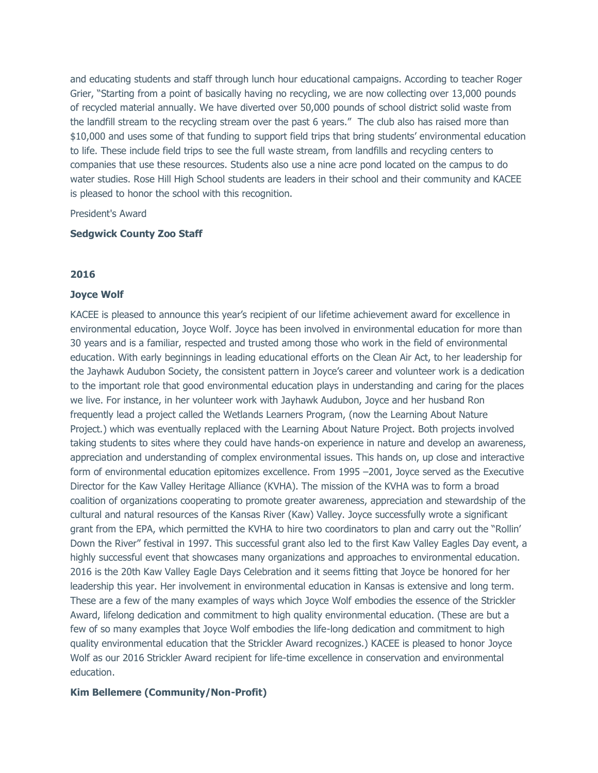and educating students and staff through lunch hour educational campaigns. According to teacher Roger Grier, "Starting from a point of basically having no recycling, we are now collecting over 13,000 pounds of recycled material annually. We have diverted over 50,000 pounds of school district solid waste from the landfill stream to the recycling stream over the past 6 years." The club also has raised more than \$10,000 and uses some of that funding to support field trips that bring students' environmental education to life. These include field trips to see the full waste stream, from landfills and recycling centers to companies that use these resources. Students also use a nine acre pond located on the campus to do water studies. Rose Hill High School students are leaders in their school and their community and KACEE is pleased to honor the school with this recognition.

President's Award

#### **Sedgwick County Zoo Staff**

## **2016**

### **Joyce Wolf**

KACEE is pleased to announce this year's recipient of our lifetime achievement award for excellence in environmental education, Joyce Wolf. Joyce has been involved in environmental education for more than 30 years and is a familiar, respected and trusted among those who work in the field of environmental education. With early beginnings in leading educational efforts on the Clean Air Act, to her leadership for the Jayhawk Audubon Society, the consistent pattern in Joyce's career and volunteer work is a dedication to the important role that good environmental education plays in understanding and caring for the places we live. For instance, in her volunteer work with Jayhawk Audubon, Joyce and her husband Ron frequently lead a project called the Wetlands Learners Program, (now the Learning About Nature Project.) which was eventually replaced with the Learning About Nature Project. Both projects involved taking students to sites where they could have hands-on experience in nature and develop an awareness, appreciation and understanding of complex environmental issues. This hands on, up close and interactive form of environmental education epitomizes excellence. From 1995 –2001, Joyce served as the Executive Director for the Kaw Valley Heritage Alliance (KVHA). The mission of the KVHA was to form a broad coalition of organizations cooperating to promote greater awareness, appreciation and stewardship of the cultural and natural resources of the Kansas River (Kaw) Valley. Joyce successfully wrote a significant grant from the EPA, which permitted the KVHA to hire two coordinators to plan and carry out the "Rollin' Down the River" festival in 1997. This successful grant also led to the first Kaw Valley Eagles Day event, a highly successful event that showcases many organizations and approaches to environmental education. 2016 is the 20th Kaw Valley Eagle Days Celebration and it seems fitting that Joyce be honored for her leadership this year. Her involvement in environmental education in Kansas is extensive and long term. These are a few of the many examples of ways which Joyce Wolf embodies the essence of the Strickler Award, lifelong dedication and commitment to high quality environmental education. (These are but a few of so many examples that Joyce Wolf embodies the life-long dedication and commitment to high quality environmental education that the Strickler Award recognizes.) KACEE is pleased to honor Joyce Wolf as our 2016 Strickler Award recipient for life-time excellence in conservation and environmental education.

### **Kim Bellemere (Community/Non-Profit)**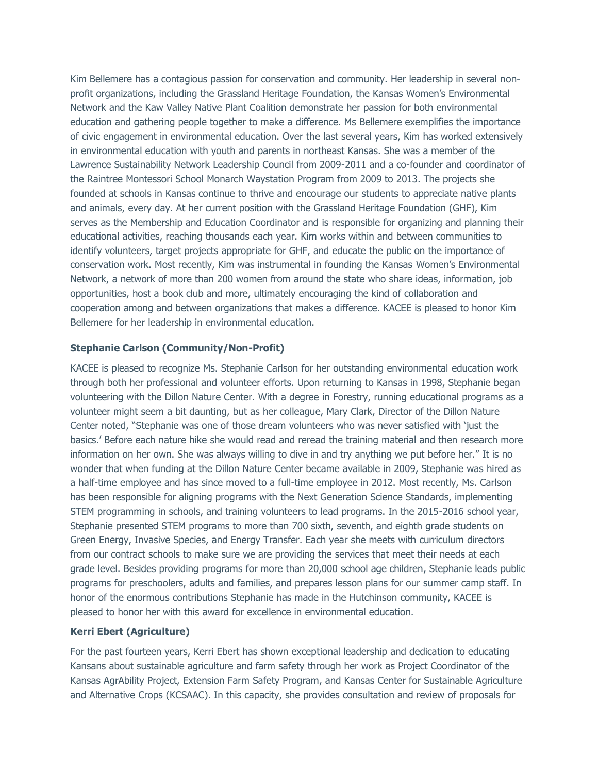Kim Bellemere has a contagious passion for conservation and community. Her leadership in several nonprofit organizations, including the Grassland Heritage Foundation, the Kansas Women's Environmental Network and the Kaw Valley Native Plant Coalition demonstrate her passion for both environmental education and gathering people together to make a difference. Ms Bellemere exemplifies the importance of civic engagement in environmental education. Over the last several years, Kim has worked extensively in environmental education with youth and parents in northeast Kansas. She was a member of the Lawrence Sustainability Network Leadership Council from 2009-2011 and a co-founder and coordinator of the Raintree Montessori School Monarch Waystation Program from 2009 to 2013. The projects she founded at schools in Kansas continue to thrive and encourage our students to appreciate native plants and animals, every day. At her current position with the Grassland Heritage Foundation (GHF), Kim serves as the Membership and Education Coordinator and is responsible for organizing and planning their educational activities, reaching thousands each year. Kim works within and between communities to identify volunteers, target projects appropriate for GHF, and educate the public on the importance of conservation work. Most recently, Kim was instrumental in founding the Kansas Women's Environmental Network, a network of more than 200 women from around the state who share ideas, information, job opportunities, host a book club and more, ultimately encouraging the kind of collaboration and cooperation among and between organizations that makes a difference. KACEE is pleased to honor Kim Bellemere for her leadership in environmental education.

# **Stephanie Carlson (Community/Non-Profit)**

KACEE is pleased to recognize Ms. Stephanie Carlson for her outstanding environmental education work through both her professional and volunteer efforts. Upon returning to Kansas in 1998, Stephanie began volunteering with the Dillon Nature Center. With a degree in Forestry, running educational programs as a volunteer might seem a bit daunting, but as her colleague, Mary Clark, Director of the Dillon Nature Center noted, "Stephanie was one of those dream volunteers who was never satisfied with 'just the basics.' Before each nature hike she would read and reread the training material and then research more information on her own. She was always willing to dive in and try anything we put before her." It is no wonder that when funding at the Dillon Nature Center became available in 2009, Stephanie was hired as a half-time employee and has since moved to a full-time employee in 2012. Most recently, Ms. Carlson has been responsible for aligning programs with the Next Generation Science Standards, implementing STEM programming in schools, and training volunteers to lead programs. In the 2015-2016 school year, Stephanie presented STEM programs to more than 700 sixth, seventh, and eighth grade students on Green Energy, Invasive Species, and Energy Transfer. Each year she meets with curriculum directors from our contract schools to make sure we are providing the services that meet their needs at each grade level. Besides providing programs for more than 20,000 school age children, Stephanie leads public programs for preschoolers, adults and families, and prepares lesson plans for our summer camp staff. In honor of the enormous contributions Stephanie has made in the Hutchinson community, KACEE is pleased to honor her with this award for excellence in environmental education.

### **Kerri Ebert (Agriculture)**

For the past fourteen years, Kerri Ebert has shown exceptional leadership and dedication to educating Kansans about sustainable agriculture and farm safety through her work as Project Coordinator of the Kansas AgrAbility Project, Extension Farm Safety Program, and Kansas Center for Sustainable Agriculture and Alternative Crops (KCSAAC). In this capacity, she provides consultation and review of proposals for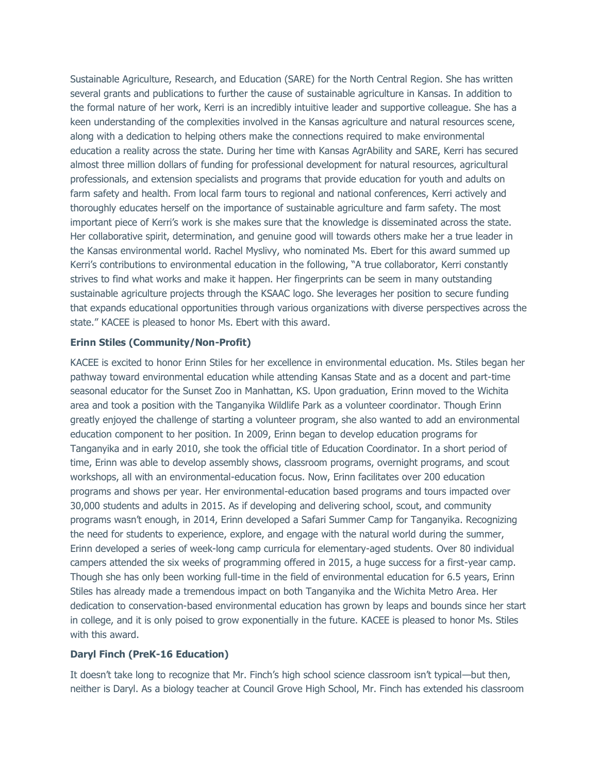Sustainable Agriculture, Research, and Education (SARE) for the North Central Region. She has written several grants and publications to further the cause of sustainable agriculture in Kansas. In addition to the formal nature of her work, Kerri is an incredibly intuitive leader and supportive colleague. She has a keen understanding of the complexities involved in the Kansas agriculture and natural resources scene, along with a dedication to helping others make the connections required to make environmental education a reality across the state. During her time with Kansas AgrAbility and SARE, Kerri has secured almost three million dollars of funding for professional development for natural resources, agricultural professionals, and extension specialists and programs that provide education for youth and adults on farm safety and health. From local farm tours to regional and national conferences, Kerri actively and thoroughly educates herself on the importance of sustainable agriculture and farm safety. The most important piece of Kerri's work is she makes sure that the knowledge is disseminated across the state. Her collaborative spirit, determination, and genuine good will towards others make her a true leader in the Kansas environmental world. Rachel Myslivy, who nominated Ms. Ebert for this award summed up Kerri's contributions to environmental education in the following, "A true collaborator, Kerri constantly strives to find what works and make it happen. Her fingerprints can be seem in many outstanding sustainable agriculture projects through the KSAAC logo. She leverages her position to secure funding that expands educational opportunities through various organizations with diverse perspectives across the state." KACEE is pleased to honor Ms. Ebert with this award.

# **Erinn Stiles (Community/Non-Profit)**

KACEE is excited to honor Erinn Stiles for her excellence in environmental education. Ms. Stiles began her pathway toward environmental education while attending Kansas State and as a docent and part-time seasonal educator for the Sunset Zoo in Manhattan, KS. Upon graduation, Erinn moved to the Wichita area and took a position with the Tanganyika Wildlife Park as a volunteer coordinator. Though Erinn greatly enjoyed the challenge of starting a volunteer program, she also wanted to add an environmental education component to her position. In 2009, Erinn began to develop education programs for Tanganyika and in early 2010, she took the official title of Education Coordinator. In a short period of time, Erinn was able to develop assembly shows, classroom programs, overnight programs, and scout workshops, all with an environmental-education focus. Now, Erinn facilitates over 200 education programs and shows per year. Her environmental-education based programs and tours impacted over 30,000 students and adults in 2015. As if developing and delivering school, scout, and community programs wasn't enough, in 2014, Erinn developed a Safari Summer Camp for Tanganyika. Recognizing the need for students to experience, explore, and engage with the natural world during the summer, Erinn developed a series of week-long camp curricula for elementary-aged students. Over 80 individual campers attended the six weeks of programming offered in 2015, a huge success for a first-year camp. Though she has only been working full-time in the field of environmental education for 6.5 years, Erinn Stiles has already made a tremendous impact on both Tanganyika and the Wichita Metro Area. Her dedication to conservation-based environmental education has grown by leaps and bounds since her start in college, and it is only poised to grow exponentially in the future. KACEE is pleased to honor Ms. Stiles with this award.

# **Daryl Finch (PreK-16 Education)**

It doesn't take long to recognize that Mr. Finch's high school science classroom isn't typical—but then, neither is Daryl. As a biology teacher at Council Grove High School, Mr. Finch has extended his classroom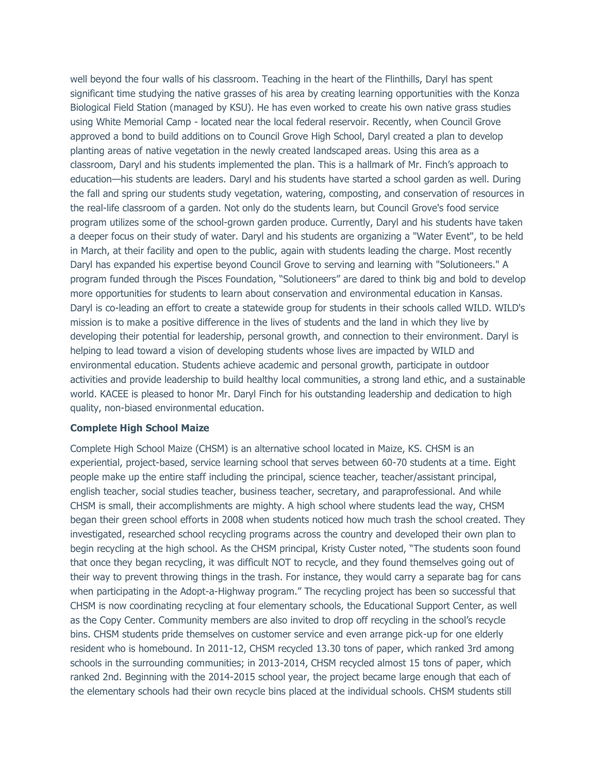well beyond the four walls of his classroom. Teaching in the heart of the Flinthills, Daryl has spent significant time studying the native grasses of his area by creating learning opportunities with the Konza Biological Field Station (managed by KSU). He has even worked to create his own native grass studies using White Memorial Camp - located near the local federal reservoir. Recently, when Council Grove approved a bond to build additions on to Council Grove High School, Daryl created a plan to develop planting areas of native vegetation in the newly created landscaped areas. Using this area as a classroom, Daryl and his students implemented the plan. This is a hallmark of Mr. Finch's approach to education—his students are leaders. Daryl and his students have started a school garden as well. During the fall and spring our students study vegetation, watering, composting, and conservation of resources in the real-life classroom of a garden. Not only do the students learn, but Council Grove's food service program utilizes some of the school-grown garden produce. Currently, Daryl and his students have taken a deeper focus on their study of water. Daryl and his students are organizing a "Water Event", to be held in March, at their facility and open to the public, again with students leading the charge. Most recently Daryl has expanded his expertise beyond Council Grove to serving and learning with "Solutioneers." A program funded through the Pisces Foundation, "Solutioneers" are dared to think big and bold to develop more opportunities for students to learn about conservation and environmental education in Kansas. Daryl is co-leading an effort to create a statewide group for students in their schools called WILD. WILD's mission is to make a positive difference in the lives of students and the land in which they live by developing their potential for leadership, personal growth, and connection to their environment. Daryl is helping to lead toward a vision of developing students whose lives are impacted by WILD and environmental education. Students achieve academic and personal growth, participate in outdoor activities and provide leadership to build healthy local communities, a strong land ethic, and a sustainable world. KACEE is pleased to honor Mr. Daryl Finch for his outstanding leadership and dedication to high quality, non-biased environmental education.

#### **Complete High School Maize**

Complete High School Maize (CHSM) is an alternative school located in Maize, KS. CHSM is an experiential, project-based, service learning school that serves between 60-70 students at a time. Eight people make up the entire staff including the principal, science teacher, teacher/assistant principal, english teacher, social studies teacher, business teacher, secretary, and paraprofessional. And while CHSM is small, their accomplishments are mighty. A high school where students lead the way, CHSM began their green school efforts in 2008 when students noticed how much trash the school created. They investigated, researched school recycling programs across the country and developed their own plan to begin recycling at the high school. As the CHSM principal, Kristy Custer noted, "The students soon found that once they began recycling, it was difficult NOT to recycle, and they found themselves going out of their way to prevent throwing things in the trash. For instance, they would carry a separate bag for cans when participating in the Adopt-a-Highway program." The recycling project has been so successful that CHSM is now coordinating recycling at four elementary schools, the Educational Support Center, as well as the Copy Center. Community members are also invited to drop off recycling in the school's recycle bins. CHSM students pride themselves on customer service and even arrange pick-up for one elderly resident who is homebound. In 2011-12, CHSM recycled 13.30 tons of paper, which ranked 3rd among schools in the surrounding communities; in 2013-2014, CHSM recycled almost 15 tons of paper, which ranked 2nd. Beginning with the 2014-2015 school year, the project became large enough that each of the elementary schools had their own recycle bins placed at the individual schools. CHSM students still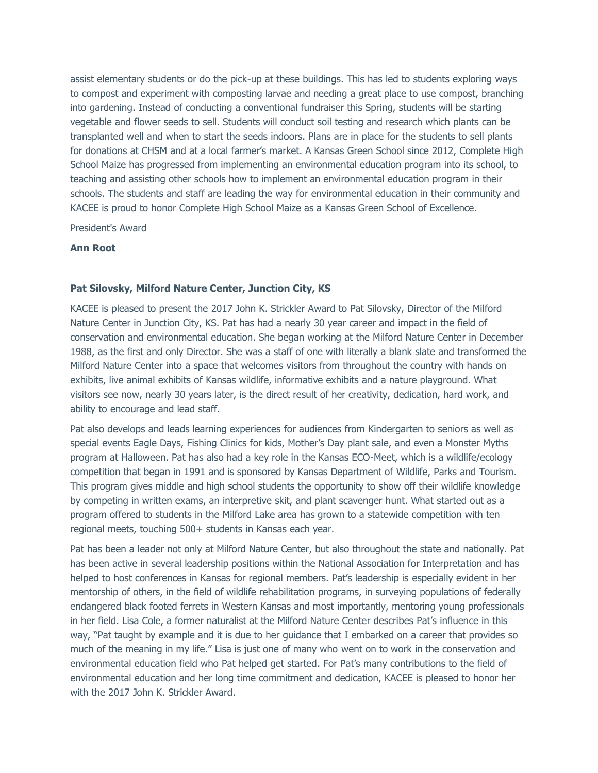assist elementary students or do the pick-up at these buildings. This has led to students exploring ways to compost and experiment with composting larvae and needing a great place to use compost, branching into gardening. Instead of conducting a conventional fundraiser this Spring, students will be starting vegetable and flower seeds to sell. Students will conduct soil testing and research which plants can be transplanted well and when to start the seeds indoors. Plans are in place for the students to sell plants for donations at CHSM and at a local farmer's market. A Kansas Green School since 2012, Complete High School Maize has progressed from implementing an environmental education program into its school, to teaching and assisting other schools how to implement an environmental education program in their schools. The students and staff are leading the way for environmental education in their community and KACEE is proud to honor Complete High School Maize as a Kansas Green School of Excellence.

President's Award

### **Ann Root**

## **Pat Silovsky, Milford Nature Center, Junction City, KS**

KACEE is pleased to present the 2017 John K. Strickler Award to Pat Silovsky, Director of the Milford Nature Center in Junction City, KS. Pat has had a nearly 30 year career and impact in the field of conservation and environmental education. She began working at the Milford Nature Center in December 1988, as the first and only Director. She was a staff of one with literally a blank slate and transformed the Milford Nature Center into a space that welcomes visitors from throughout the country with hands on exhibits, live animal exhibits of Kansas wildlife, informative exhibits and a nature playground. What visitors see now, nearly 30 years later, is the direct result of her creativity, dedication, hard work, and ability to encourage and lead staff.

Pat also develops and leads learning experiences for audiences from Kindergarten to seniors as well as special events Eagle Days, Fishing Clinics for kids, Mother's Day plant sale, and even a Monster Myths program at Halloween. Pat has also had a key role in the Kansas ECO-Meet, which is a wildlife/ecology competition that began in 1991 and is sponsored by Kansas Department of Wildlife, Parks and Tourism. This program gives middle and high school students the opportunity to show off their wildlife knowledge by competing in written exams, an interpretive skit, and plant scavenger hunt. What started out as a program offered to students in the Milford Lake area has grown to a statewide competition with ten regional meets, touching 500+ students in Kansas each year.

Pat has been a leader not only at Milford Nature Center, but also throughout the state and nationally. Pat has been active in several leadership positions within the National Association for Interpretation and has helped to host conferences in Kansas for regional members. Pat's leadership is especially evident in her mentorship of others, in the field of wildlife rehabilitation programs, in surveying populations of federally endangered black footed ferrets in Western Kansas and most importantly, mentoring young professionals in her field. Lisa Cole, a former naturalist at the Milford Nature Center describes Pat's influence in this way, "Pat taught by example and it is due to her guidance that I embarked on a career that provides so much of the meaning in my life." Lisa is just one of many who went on to work in the conservation and environmental education field who Pat helped get started. For Pat's many contributions to the field of environmental education and her long time commitment and dedication, KACEE is pleased to honor her with the 2017 John K. Strickler Award.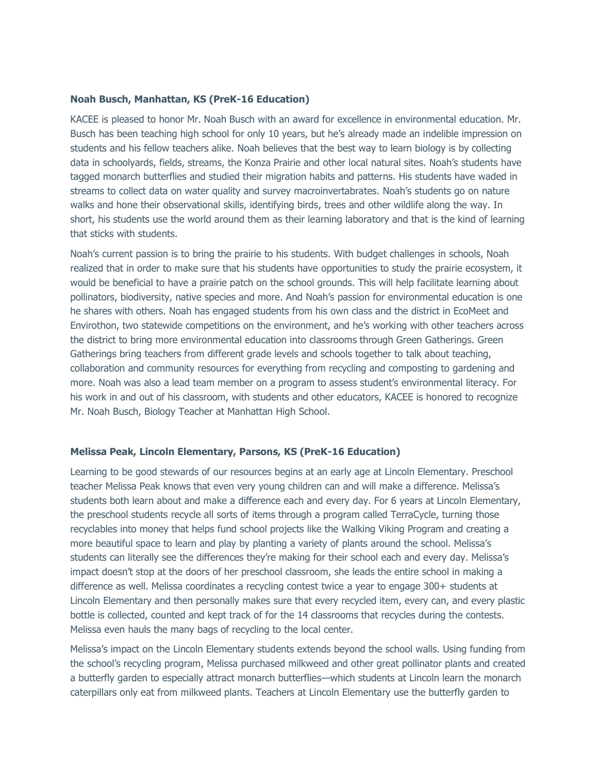### **Noah Busch, Manhattan, KS (PreK-16 Education)**

KACEE is pleased to honor Mr. Noah Busch with an award for excellence in environmental education. Mr. Busch has been teaching high school for only 10 years, but he's already made an indelible impression on students and his fellow teachers alike. Noah believes that the best way to learn biology is by collecting data in schoolyards, fields, streams, the Konza Prairie and other local natural sites. Noah's students have tagged monarch butterflies and studied their migration habits and patterns. His students have waded in streams to collect data on water quality and survey macroinvertabrates. Noah's students go on nature walks and hone their observational skills, identifying birds, trees and other wildlife along the way. In short, his students use the world around them as their learning laboratory and that is the kind of learning that sticks with students.

Noah's current passion is to bring the prairie to his students. With budget challenges in schools, Noah realized that in order to make sure that his students have opportunities to study the prairie ecosystem, it would be beneficial to have a prairie patch on the school grounds. This will help facilitate learning about pollinators, biodiversity, native species and more. And Noah's passion for environmental education is one he shares with others. Noah has engaged students from his own class and the district in EcoMeet and Envirothon, two statewide competitions on the environment, and he's working with other teachers across the district to bring more environmental education into classrooms through Green Gatherings. Green Gatherings bring teachers from different grade levels and schools together to talk about teaching, collaboration and community resources for everything from recycling and composting to gardening and more. Noah was also a lead team member on a program to assess student's environmental literacy. For his work in and out of his classroom, with students and other educators, KACEE is honored to recognize Mr. Noah Busch, Biology Teacher at Manhattan High School.

#### **Melissa Peak, Lincoln Elementary, Parsons, KS (PreK-16 Education)**

Learning to be good stewards of our resources begins at an early age at Lincoln Elementary. Preschool teacher Melissa Peak knows that even very young children can and will make a difference. Melissa's students both learn about and make a difference each and every day. For 6 years at Lincoln Elementary, the preschool students recycle all sorts of items through a program called TerraCycle, turning those recyclables into money that helps fund school projects like the Walking Viking Program and creating a more beautiful space to learn and play by planting a variety of plants around the school. Melissa's students can literally see the differences they're making for their school each and every day. Melissa's impact doesn't stop at the doors of her preschool classroom, she leads the entire school in making a difference as well. Melissa coordinates a recycling contest twice a year to engage 300+ students at Lincoln Elementary and then personally makes sure that every recycled item, every can, and every plastic bottle is collected, counted and kept track of for the 14 classrooms that recycles during the contests. Melissa even hauls the many bags of recycling to the local center.

Melissa's impact on the Lincoln Elementary students extends beyond the school walls. Using funding from the school's recycling program, Melissa purchased milkweed and other great pollinator plants and created a butterfly garden to especially attract monarch butterflies—which students at Lincoln learn the monarch caterpillars only eat from milkweed plants. Teachers at Lincoln Elementary use the butterfly garden to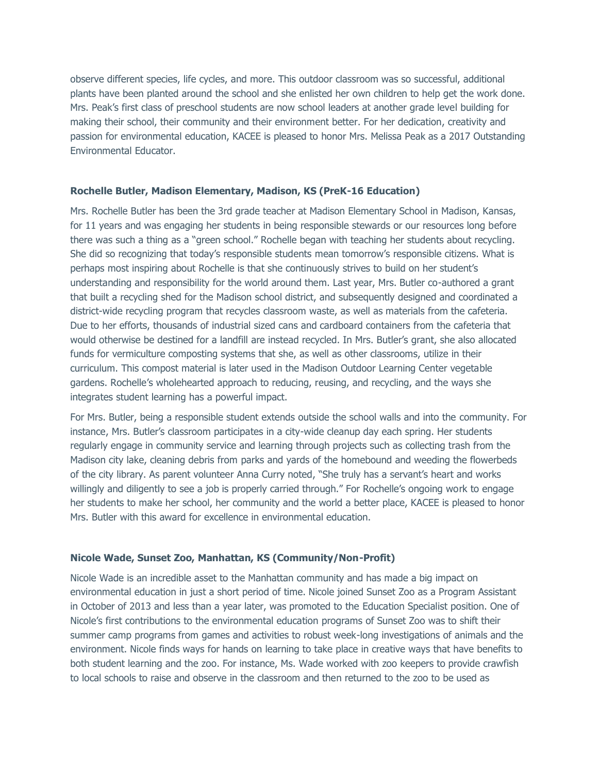observe different species, life cycles, and more. This outdoor classroom was so successful, additional plants have been planted around the school and she enlisted her own children to help get the work done. Mrs. Peak's first class of preschool students are now school leaders at another grade level building for making their school, their community and their environment better. For her dedication, creativity and passion for environmental education, KACEE is pleased to honor Mrs. Melissa Peak as a 2017 Outstanding Environmental Educator.

### **Rochelle Butler, Madison Elementary, Madison, KS (PreK-16 Education)**

Mrs. Rochelle Butler has been the 3rd grade teacher at Madison Elementary School in Madison, Kansas, for 11 years and was engaging her students in being responsible stewards or our resources long before there was such a thing as a "green school." Rochelle began with teaching her students about recycling. She did so recognizing that today's responsible students mean tomorrow's responsible citizens. What is perhaps most inspiring about Rochelle is that she continuously strives to build on her student's understanding and responsibility for the world around them. Last year, Mrs. Butler co-authored a grant that built a recycling shed for the Madison school district, and subsequently designed and coordinated a district-wide recycling program that recycles classroom waste, as well as materials from the cafeteria. Due to her efforts, thousands of industrial sized cans and cardboard containers from the cafeteria that would otherwise be destined for a landfill are instead recycled. In Mrs. Butler's grant, she also allocated funds for vermiculture composting systems that she, as well as other classrooms, utilize in their curriculum. This compost material is later used in the Madison Outdoor Learning Center vegetable gardens. Rochelle's wholehearted approach to reducing, reusing, and recycling, and the ways she integrates student learning has a powerful impact.

For Mrs. Butler, being a responsible student extends outside the school walls and into the community. For instance, Mrs. Butler's classroom participates in a city-wide cleanup day each spring. Her students regularly engage in community service and learning through projects such as collecting trash from the Madison city lake, cleaning debris from parks and yards of the homebound and weeding the flowerbeds of the city library. As parent volunteer Anna Curry noted, "She truly has a servant's heart and works willingly and diligently to see a job is properly carried through." For Rochelle's ongoing work to engage her students to make her school, her community and the world a better place, KACEE is pleased to honor Mrs. Butler with this award for excellence in environmental education.

# **Nicole Wade, Sunset Zoo, Manhattan, KS (Community/Non-Profit)**

Nicole Wade is an incredible asset to the Manhattan community and has made a big impact on environmental education in just a short period of time. Nicole joined Sunset Zoo as a Program Assistant in October of 2013 and less than a year later, was promoted to the Education Specialist position. One of Nicole's first contributions to the environmental education programs of Sunset Zoo was to shift their summer camp programs from games and activities to robust week-long investigations of animals and the environment. Nicole finds ways for hands on learning to take place in creative ways that have benefits to both student learning and the zoo. For instance, Ms. Wade worked with zoo keepers to provide crawfish to local schools to raise and observe in the classroom and then returned to the zoo to be used as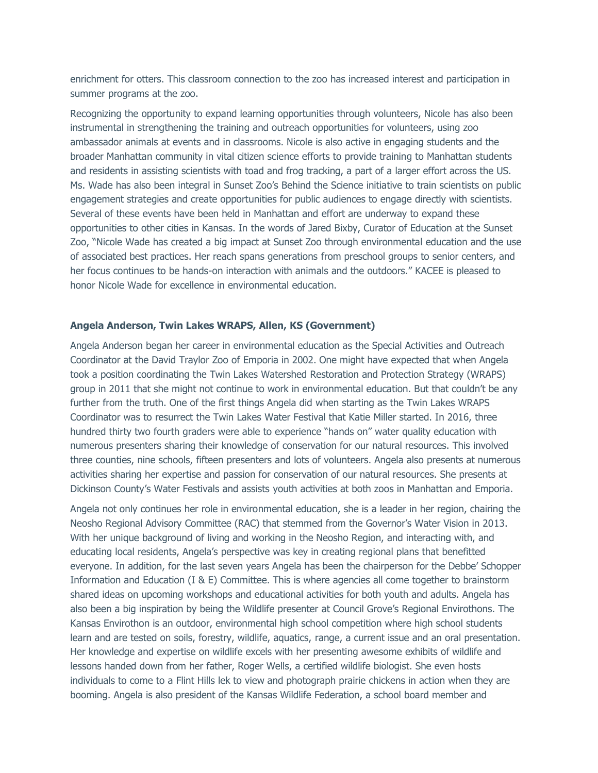enrichment for otters. This classroom connection to the zoo has increased interest and participation in summer programs at the zoo.

Recognizing the opportunity to expand learning opportunities through volunteers, Nicole has also been instrumental in strengthening the training and outreach opportunities for volunteers, using zoo ambassador animals at events and in classrooms. Nicole is also active in engaging students and the broader Manhattan community in vital citizen science efforts to provide training to Manhattan students and residents in assisting scientists with toad and frog tracking, a part of a larger effort across the US. Ms. Wade has also been integral in Sunset Zoo's Behind the Science initiative to train scientists on public engagement strategies and create opportunities for public audiences to engage directly with scientists. Several of these events have been held in Manhattan and effort are underway to expand these opportunities to other cities in Kansas. In the words of Jared Bixby, Curator of Education at the Sunset Zoo, "Nicole Wade has created a big impact at Sunset Zoo through environmental education and the use of associated best practices. Her reach spans generations from preschool groups to senior centers, and her focus continues to be hands-on interaction with animals and the outdoors." KACEE is pleased to honor Nicole Wade for excellence in environmental education.

### **Angela Anderson, Twin Lakes WRAPS, Allen, KS (Government)**

Angela Anderson began her career in environmental education as the Special Activities and Outreach Coordinator at the David Traylor Zoo of Emporia in 2002. One might have expected that when Angela took a position coordinating the Twin Lakes Watershed Restoration and Protection Strategy (WRAPS) group in 2011 that she might not continue to work in environmental education. But that couldn't be any further from the truth. One of the first things Angela did when starting as the Twin Lakes WRAPS Coordinator was to resurrect the Twin Lakes Water Festival that Katie Miller started. In 2016, three hundred thirty two fourth graders were able to experience "hands on" water quality education with numerous presenters sharing their knowledge of conservation for our natural resources. This involved three counties, nine schools, fifteen presenters and lots of volunteers. Angela also presents at numerous activities sharing her expertise and passion for conservation of our natural resources. She presents at Dickinson County's Water Festivals and assists youth activities at both zoos in Manhattan and Emporia.

Angela not only continues her role in environmental education, she is a leader in her region, chairing the Neosho Regional Advisory Committee (RAC) that stemmed from the Governor's Water Vision in 2013. With her unique background of living and working in the Neosho Region, and interacting with, and educating local residents, Angela's perspective was key in creating regional plans that benefitted everyone. In addition, for the last seven years Angela has been the chairperson for the Debbe' Schopper Information and Education (I & E) Committee. This is where agencies all come together to brainstorm shared ideas on upcoming workshops and educational activities for both youth and adults. Angela has also been a big inspiration by being the Wildlife presenter at Council Grove's Regional Envirothons. The Kansas Envirothon is an outdoor, environmental high school competition where high school students learn and are tested on soils, forestry, wildlife, aquatics, range, a current issue and an oral presentation. Her knowledge and expertise on wildlife excels with her presenting awesome exhibits of wildlife and lessons handed down from her father, Roger Wells, a certified wildlife biologist. She even hosts individuals to come to a Flint Hills lek to view and photograph prairie chickens in action when they are booming. Angela is also president of the Kansas Wildlife Federation, a school board member and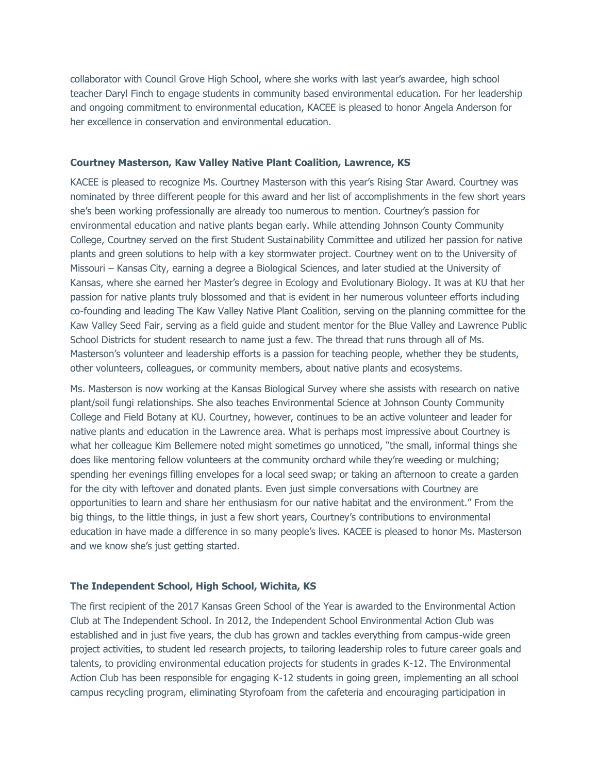collaborator with Council Grove High School, where she works with last year's awardee, high school teacher Daryl Finch to engage students in community based environmental education. For her leadership and ongoing commitment to environmental education, KACEE is pleased to honor Angela Anderson for her excellence in conservation and environmental education.

#### **Courtney Masterson, Kaw Valley Native Plant Coalition, Lawrence, KS**

KACEE is pleased to recognize Ms. Courtney Masterson with this year's Rising Star Award. Courtney was nominated by three different people for this award and her list of accomplishments in the few short years she's been working professionally are already too numerous to mention. Courtney's passion for environmental education and native plants began early. While attending Johnson County Community College, Courtney served on the first Student Sustainability Committee and utilized her passion for native plants and green solutions to help with a key stormwater project. Courtney went on to the University of Missouri – Kansas City, earning a degree a Biological Sciences, and later studied at the University of Kansas, where she earned her Master's degree in Ecology and Evolutionary Biology. It was at KU that her passion for native plants truly blossomed and that is evident in her numerous volunteer efforts including co-founding and leading The Kaw Valley Native Plant Coalition, serving on the planning committee for the Kaw Valley Seed Fair, serving as a field guide and student mentor for the Blue Valley and Lawrence Public School Districts for student research to name just a few. The thread that runs through all of Ms. Masterson's volunteer and leadership efforts is a passion for teaching people, whether they be students, other volunteers, colleagues, or community members, about native plants and ecosystems.

Ms. Masterson is now working at the Kansas Biological Survey where she assists with research on native plant/soil fungi relationships. She also teaches Environmental Science at Johnson County Community College and Field Botany at KU. Courtney, however, continues to be an active volunteer and leader for native plants and education in the Lawrence area. What is perhaps most impressive about Courtney is what her colleague Kim Bellemere noted might sometimes go unnoticed, "the small, informal things she does like mentoring fellow volunteers at the community orchard while they're weeding or mulching; spending her evenings filling envelopes for a local seed swap; or taking an afternoon to create a garden for the city with leftover and donated plants. Even just simple conversations with Courtney are opportunities to learn and share her enthusiasm for our native habitat and the environment." From the big things, to the little things, in just a few short years, Courtney's contributions to environmental education in have made a difference in so many people's lives. KACEE is pleased to honor Ms. Masterson and we know she's just getting started.

## **The Independent School, High School, Wichita, KS**

The first recipient of the 2017 Kansas Green School of the Year is awarded to the Environmental Action Club at The Independent School. In 2012, the Independent School Environmental Action Club was established and in just five years, the club has grown and tackles everything from campus-wide green project activities, to student led research projects, to tailoring leadership roles to future career goals and talents, to providing environmental education projects for students in grades K-12. The Environmental Action Club has been responsible for engaging K-12 students in going green, implementing an all school campus recycling program, eliminating Styrofoam from the cafeteria and encouraging participation in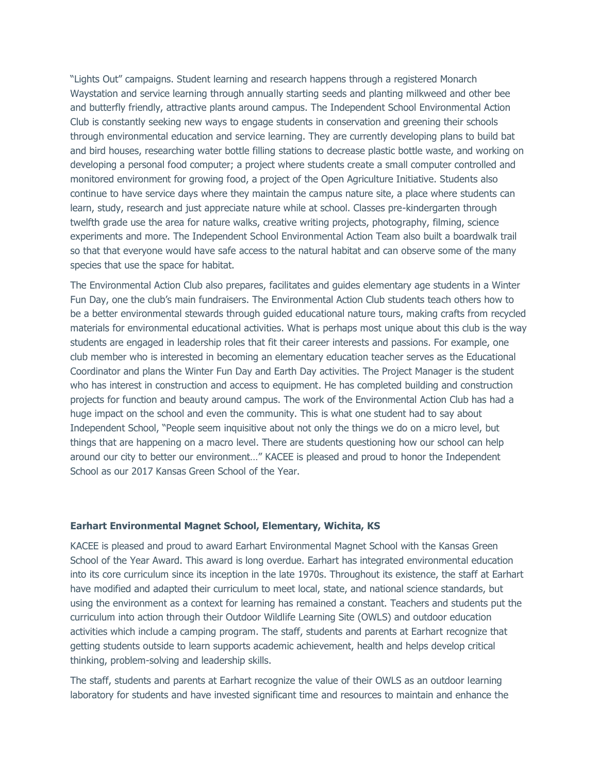"Lights Out" campaigns. Student learning and research happens through a registered Monarch Waystation and service learning through annually starting seeds and planting milkweed and other bee and butterfly friendly, attractive plants around campus. The Independent School Environmental Action Club is constantly seeking new ways to engage students in conservation and greening their schools through environmental education and service learning. They are currently developing plans to build bat and bird houses, researching water bottle filling stations to decrease plastic bottle waste, and working on developing a personal food computer; a project where students create a small computer controlled and monitored environment for growing food, a project of the Open Agriculture Initiative. Students also continue to have service days where they maintain the campus nature site, a place where students can learn, study, research and just appreciate nature while at school. Classes pre-kindergarten through twelfth grade use the area for nature walks, creative writing projects, photography, filming, science experiments and more. The Independent School Environmental Action Team also built a boardwalk trail so that that everyone would have safe access to the natural habitat and can observe some of the many species that use the space for habitat.

The Environmental Action Club also prepares, facilitates and guides elementary age students in a Winter Fun Day, one the club's main fundraisers. The Environmental Action Club students teach others how to be a better environmental stewards through guided educational nature tours, making crafts from recycled materials for environmental educational activities. What is perhaps most unique about this club is the way students are engaged in leadership roles that fit their career interests and passions. For example, one club member who is interested in becoming an elementary education teacher serves as the Educational Coordinator and plans the Winter Fun Day and Earth Day activities. The Project Manager is the student who has interest in construction and access to equipment. He has completed building and construction projects for function and beauty around campus. The work of the Environmental Action Club has had a huge impact on the school and even the community. This is what one student had to say about Independent School, "People seem inquisitive about not only the things we do on a micro level, but things that are happening on a macro level. There are students questioning how our school can help around our city to better our environment…" KACEE is pleased and proud to honor the Independent School as our 2017 Kansas Green School of the Year.

### **Earhart Environmental Magnet School, Elementary, Wichita, KS**

KACEE is pleased and proud to award Earhart Environmental Magnet School with the Kansas Green School of the Year Award. This award is long overdue. Earhart has integrated environmental education into its core curriculum since its inception in the late 1970s. Throughout its existence, the staff at Earhart have modified and adapted their curriculum to meet local, state, and national science standards, but using the environment as a context for learning has remained a constant. Teachers and students put the curriculum into action through their Outdoor Wildlife Learning Site (OWLS) and outdoor education activities which include a camping program. The staff, students and parents at Earhart recognize that getting students outside to learn supports academic achievement, health and helps develop critical thinking, problem-solving and leadership skills.

The staff, students and parents at Earhart recognize the value of their OWLS as an outdoor learning laboratory for students and have invested significant time and resources to maintain and enhance the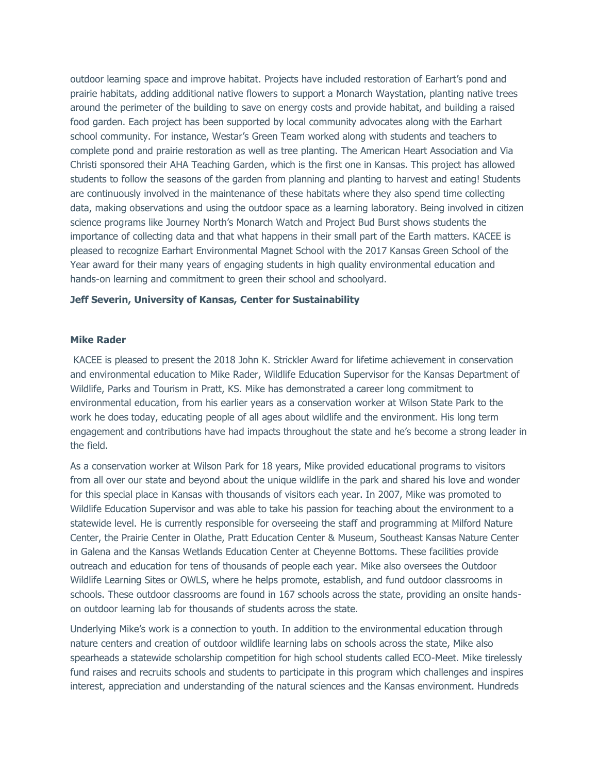outdoor learning space and improve habitat. Projects have included restoration of Earhart's pond and prairie habitats, adding additional native flowers to support a Monarch Waystation, planting native trees around the perimeter of the building to save on energy costs and provide habitat, and building a raised food garden. Each project has been supported by local community advocates along with the Earhart school community. For instance, Westar's Green Team worked along with students and teachers to complete pond and prairie restoration as well as tree planting. The American Heart Association and Via Christi sponsored their AHA Teaching Garden, which is the first one in Kansas. This project has allowed students to follow the seasons of the garden from planning and planting to harvest and eating! Students are continuously involved in the maintenance of these habitats where they also spend time collecting data, making observations and using the outdoor space as a learning laboratory. Being involved in citizen science programs like Journey North's Monarch Watch and Project Bud Burst shows students the importance of collecting data and that what happens in their small part of the Earth matters. KACEE is pleased to recognize Earhart Environmental Magnet School with the 2017 Kansas Green School of the Year award for their many years of engaging students in high quality environmental education and hands-on learning and commitment to green their school and schoolyard.

### **Jeff Severin, University of Kansas, Center for Sustainability**

### **Mike Rader**

KACEE is pleased to present the 2018 John K. Strickler Award for lifetime achievement in conservation and environmental education to Mike Rader, Wildlife Education Supervisor for the Kansas Department of Wildlife, Parks and Tourism in Pratt, KS. Mike has demonstrated a career long commitment to environmental education, from his earlier years as a conservation worker at Wilson State Park to the work he does today, educating people of all ages about wildlife and the environment. His long term engagement and contributions have had impacts throughout the state and he's become a strong leader in the field.

As a conservation worker at Wilson Park for 18 years, Mike provided educational programs to visitors from all over our state and beyond about the unique wildlife in the park and shared his love and wonder for this special place in Kansas with thousands of visitors each year. In 2007, Mike was promoted to Wildlife Education Supervisor and was able to take his passion for teaching about the environment to a statewide level. He is currently responsible for overseeing the staff and programming at Milford Nature Center, the Prairie Center in Olathe, Pratt Education Center & Museum, Southeast Kansas Nature Center in Galena and the Kansas Wetlands Education Center at Cheyenne Bottoms. These facilities provide outreach and education for tens of thousands of people each year. Mike also oversees the Outdoor Wildlife Learning Sites or OWLS, where he helps promote, establish, and fund outdoor classrooms in schools. These outdoor classrooms are found in 167 schools across the state, providing an onsite handson outdoor learning lab for thousands of students across the state.

Underlying Mike's work is a connection to youth. In addition to the environmental education through nature centers and creation of outdoor wildlife learning labs on schools across the state, Mike also spearheads a statewide scholarship competition for high school students called ECO-Meet. Mike tirelessly fund raises and recruits schools and students to participate in this program which challenges and inspires interest, appreciation and understanding of the natural sciences and the Kansas environment. Hundreds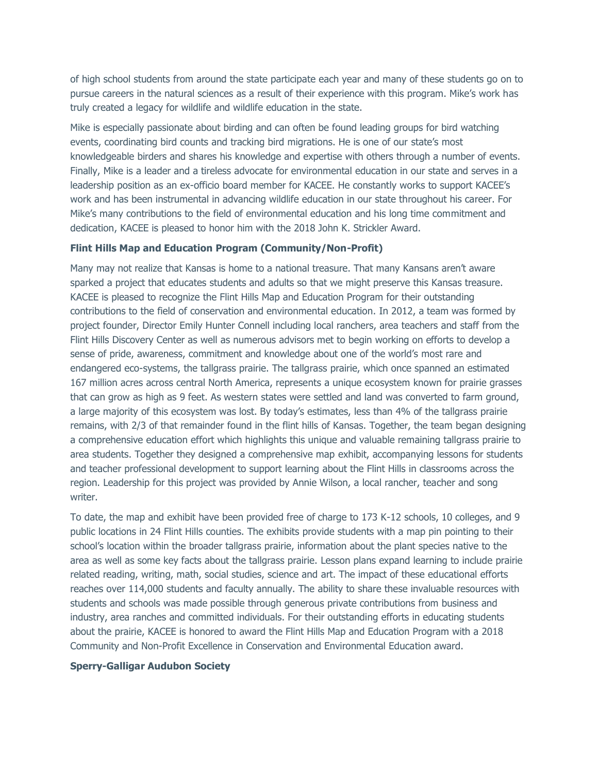of high school students from around the state participate each year and many of these students go on to pursue careers in the natural sciences as a result of their experience with this program. Mike's work has truly created a legacy for wildlife and wildlife education in the state.

Mike is especially passionate about birding and can often be found leading groups for bird watching events, coordinating bird counts and tracking bird migrations. He is one of our state's most knowledgeable birders and shares his knowledge and expertise with others through a number of events. Finally, Mike is a leader and a tireless advocate for environmental education in our state and serves in a leadership position as an ex-officio board member for KACEE. He constantly works to support KACEE's work and has been instrumental in advancing wildlife education in our state throughout his career. For Mike's many contributions to the field of environmental education and his long time commitment and dedication, KACEE is pleased to honor him with the 2018 John K. Strickler Award.

### **Flint Hills Map and Education Program (Community/Non-Profit)**

Many may not realize that Kansas is home to a national treasure. That many Kansans aren't aware sparked a project that educates students and adults so that we might preserve this Kansas treasure. KACEE is pleased to recognize the Flint Hills Map and Education Program for their outstanding contributions to the field of conservation and environmental education. In 2012, a team was formed by project founder, Director Emily Hunter Connell including local ranchers, area teachers and staff from the Flint Hills Discovery Center as well as numerous advisors met to begin working on efforts to develop a sense of pride, awareness, commitment and knowledge about one of the world's most rare and endangered eco-systems, the tallgrass prairie. The tallgrass prairie, which once spanned an estimated 167 million acres across central North America, represents a unique ecosystem known for prairie grasses that can grow as high as 9 feet. As western states were settled and land was converted to farm ground, a large majority of this ecosystem was lost. By today's estimates, less than 4% of the tallgrass prairie remains, with 2/3 of that remainder found in the flint hills of Kansas. Together, the team began designing a comprehensive education effort which highlights this unique and valuable remaining tallgrass prairie to area students. Together they designed a comprehensive map exhibit, accompanying lessons for students and teacher professional development to support learning about the Flint Hills in classrooms across the region. Leadership for this project was provided by Annie Wilson, a local rancher, teacher and song writer.

To date, the map and exhibit have been provided free of charge to 173 K-12 schools, 10 colleges, and 9 public locations in 24 Flint Hills counties. The exhibits provide students with a map pin pointing to their school's location within the broader tallgrass prairie, information about the plant species native to the area as well as some key facts about the tallgrass prairie. Lesson plans expand learning to include prairie related reading, writing, math, social studies, science and art. The impact of these educational efforts reaches over 114,000 students and faculty annually. The ability to share these invaluable resources with students and schools was made possible through generous private contributions from business and industry, area ranches and committed individuals. For their outstanding efforts in educating students about the prairie, KACEE is honored to award the Flint Hills Map and Education Program with a 2018 Community and Non-Profit Excellence in Conservation and Environmental Education award.

# **Sperry-Galligar Audubon Society**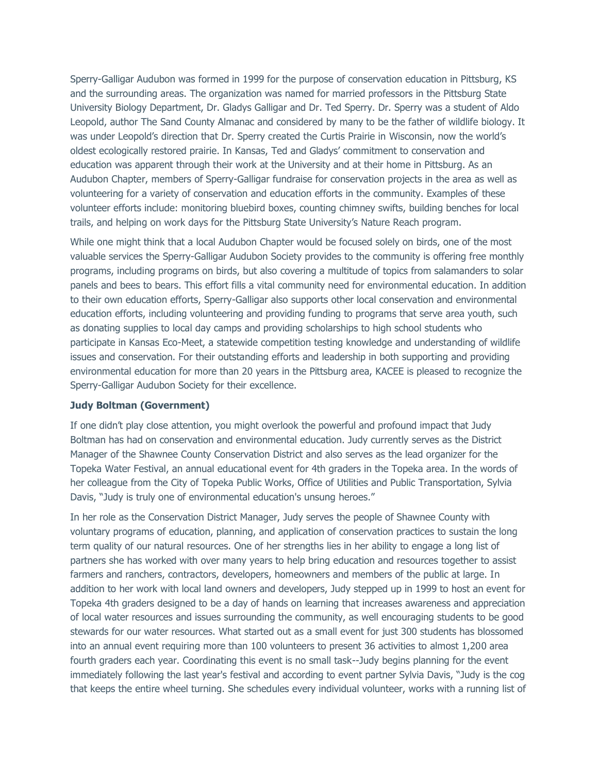Sperry-Galligar Audubon was formed in 1999 for the purpose of conservation education in Pittsburg, KS and the surrounding areas. The organization was named for married professors in the Pittsburg State University Biology Department, Dr. Gladys Galligar and Dr. Ted Sperry. Dr. Sperry was a student of Aldo Leopold, author The Sand County Almanac and considered by many to be the father of wildlife biology. It was under Leopold's direction that Dr. Sperry created the Curtis Prairie in Wisconsin, now the world's oldest ecologically restored prairie. In Kansas, Ted and Gladys' commitment to conservation and education was apparent through their work at the University and at their home in Pittsburg. As an Audubon Chapter, members of Sperry-Galligar fundraise for conservation projects in the area as well as volunteering for a variety of conservation and education efforts in the community. Examples of these volunteer efforts include: monitoring bluebird boxes, counting chimney swifts, building benches for local trails, and helping on work days for the Pittsburg State University's Nature Reach program.

While one might think that a local Audubon Chapter would be focused solely on birds, one of the most valuable services the Sperry-Galligar Audubon Society provides to the community is offering free monthly programs, including programs on birds, but also covering a multitude of topics from salamanders to solar panels and bees to bears. This effort fills a vital community need for environmental education. In addition to their own education efforts, Sperry-Galligar also supports other local conservation and environmental education efforts, including volunteering and providing funding to programs that serve area youth, such as donating supplies to local day camps and providing scholarships to high school students who participate in Kansas Eco-Meet, a statewide competition testing knowledge and understanding of wildlife issues and conservation. For their outstanding efforts and leadership in both supporting and providing environmental education for more than 20 years in the Pittsburg area, KACEE is pleased to recognize the Sperry-Galligar Audubon Society for their excellence.

#### **Judy Boltman (Government)**

If one didn't play close attention, you might overlook the powerful and profound impact that Judy Boltman has had on conservation and environmental education. Judy currently serves as the District Manager of the Shawnee County Conservation District and also serves as the lead organizer for the Topeka Water Festival, an annual educational event for 4th graders in the Topeka area. In the words of her colleague from the City of Topeka Public Works, Office of Utilities and Public Transportation, Sylvia Davis, "Judy is truly one of environmental education's unsung heroes."

In her role as the Conservation District Manager, Judy serves the people of Shawnee County with voluntary programs of education, planning, and application of conservation practices to sustain the long term quality of our natural resources. One of her strengths lies in her ability to engage a long list of partners she has worked with over many years to help bring education and resources together to assist farmers and ranchers, contractors, developers, homeowners and members of the public at large. In addition to her work with local land owners and developers, Judy stepped up in 1999 to host an event for Topeka 4th graders designed to be a day of hands on learning that increases awareness and appreciation of local water resources and issues surrounding the community, as well encouraging students to be good stewards for our water resources. What started out as a small event for just 300 students has blossomed into an annual event requiring more than 100 volunteers to present 36 activities to almost 1,200 area fourth graders each year. Coordinating this event is no small task--Judy begins planning for the event immediately following the last year's festival and according to event partner Sylvia Davis, "Judy is the cog that keeps the entire wheel turning. She schedules every individual volunteer, works with a running list of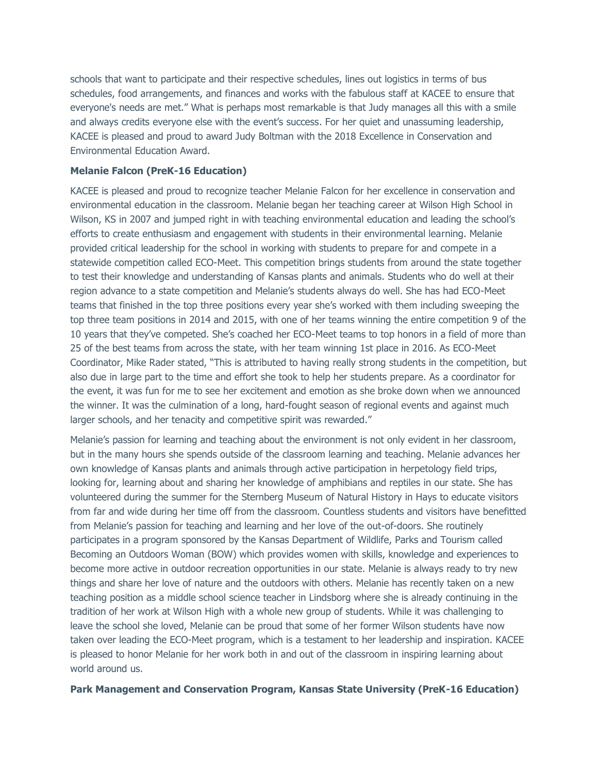schools that want to participate and their respective schedules, lines out logistics in terms of bus schedules, food arrangements, and finances and works with the fabulous staff at KACEE to ensure that everyone's needs are met." What is perhaps most remarkable is that Judy manages all this with a smile and always credits everyone else with the event's success. For her quiet and unassuming leadership, KACEE is pleased and proud to award Judy Boltman with the 2018 Excellence in Conservation and Environmental Education Award.

## **Melanie Falcon (PreK-16 Education)**

KACEE is pleased and proud to recognize teacher Melanie Falcon for her excellence in conservation and environmental education in the classroom. Melanie began her teaching career at Wilson High School in Wilson, KS in 2007 and jumped right in with teaching environmental education and leading the school's efforts to create enthusiasm and engagement with students in their environmental learning. Melanie provided critical leadership for the school in working with students to prepare for and compete in a statewide competition called ECO-Meet. This competition brings students from around the state together to test their knowledge and understanding of Kansas plants and animals. Students who do well at their region advance to a state competition and Melanie's students always do well. She has had ECO-Meet teams that finished in the top three positions every year she's worked with them including sweeping the top three team positions in 2014 and 2015, with one of her teams winning the entire competition 9 of the 10 years that they've competed. She's coached her ECO-Meet teams to top honors in a field of more than 25 of the best teams from across the state, with her team winning 1st place in 2016. As ECO-Meet Coordinator, Mike Rader stated, "This is attributed to having really strong students in the competition, but also due in large part to the time and effort she took to help her students prepare. As a coordinator for the event, it was fun for me to see her excitement and emotion as she broke down when we announced the winner. It was the culmination of a long, hard-fought season of regional events and against much larger schools, and her tenacity and competitive spirit was rewarded."

Melanie's passion for learning and teaching about the environment is not only evident in her classroom, but in the many hours she spends outside of the classroom learning and teaching. Melanie advances her own knowledge of Kansas plants and animals through active participation in herpetology field trips, looking for, learning about and sharing her knowledge of amphibians and reptiles in our state. She has volunteered during the summer for the Sternberg Museum of Natural History in Hays to educate visitors from far and wide during her time off from the classroom. Countless students and visitors have benefitted from Melanie's passion for teaching and learning and her love of the out-of-doors. She routinely participates in a program sponsored by the Kansas Department of Wildlife, Parks and Tourism called Becoming an Outdoors Woman (BOW) which provides women with skills, knowledge and experiences to become more active in outdoor recreation opportunities in our state. Melanie is always ready to try new things and share her love of nature and the outdoors with others. Melanie has recently taken on a new teaching position as a middle school science teacher in Lindsborg where she is already continuing in the tradition of her work at Wilson High with a whole new group of students. While it was challenging to leave the school she loved, Melanie can be proud that some of her former Wilson students have now taken over leading the ECO-Meet program, which is a testament to her leadership and inspiration. KACEE is pleased to honor Melanie for her work both in and out of the classroom in inspiring learning about world around us.

## **Park Management and Conservation Program, Kansas State University (PreK-16 Education)**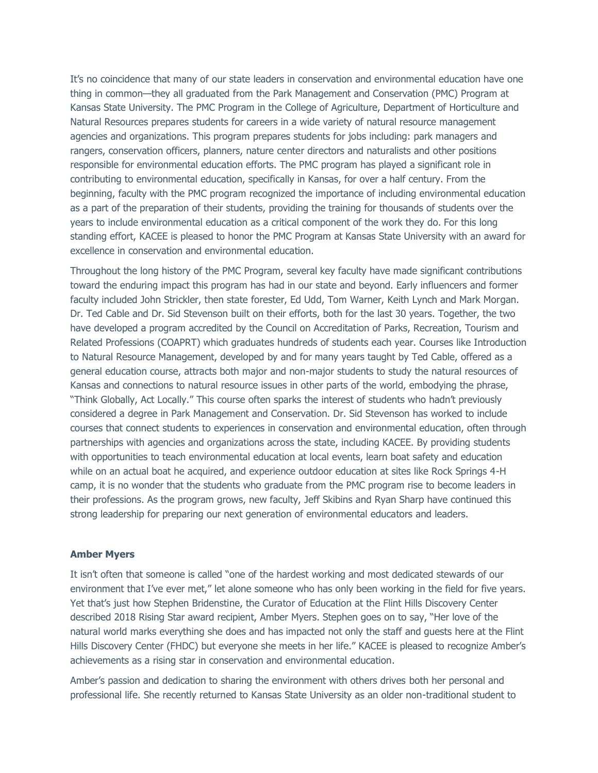It's no coincidence that many of our state leaders in conservation and environmental education have one thing in common—they all graduated from the Park Management and Conservation (PMC) Program at Kansas State University. The PMC Program in the College of Agriculture, Department of Horticulture and Natural Resources prepares students for careers in a wide variety of natural resource management agencies and organizations. This program prepares students for jobs including: park managers and rangers, conservation officers, planners, nature center directors and naturalists and other positions responsible for environmental education efforts. The PMC program has played a significant role in contributing to environmental education, specifically in Kansas, for over a half century. From the beginning, faculty with the PMC program recognized the importance of including environmental education as a part of the preparation of their students, providing the training for thousands of students over the years to include environmental education as a critical component of the work they do. For this long standing effort, KACEE is pleased to honor the PMC Program at Kansas State University with an award for excellence in conservation and environmental education.

Throughout the long history of the PMC Program, several key faculty have made significant contributions toward the enduring impact this program has had in our state and beyond. Early influencers and former faculty included John Strickler, then state forester, Ed Udd, Tom Warner, Keith Lynch and Mark Morgan. Dr. Ted Cable and Dr. Sid Stevenson built on their efforts, both for the last 30 years. Together, the two have developed a program accredited by the Council on Accreditation of Parks, Recreation, Tourism and Related Professions (COAPRT) which graduates hundreds of students each year. Courses like Introduction to Natural Resource Management, developed by and for many years taught by Ted Cable, offered as a general education course, attracts both major and non-major students to study the natural resources of Kansas and connections to natural resource issues in other parts of the world, embodying the phrase, "Think Globally, Act Locally." This course often sparks the interest of students who hadn't previously considered a degree in Park Management and Conservation. Dr. Sid Stevenson has worked to include courses that connect students to experiences in conservation and environmental education, often through partnerships with agencies and organizations across the state, including KACEE. By providing students with opportunities to teach environmental education at local events, learn boat safety and education while on an actual boat he acquired, and experience outdoor education at sites like Rock Springs 4-H camp, it is no wonder that the students who graduate from the PMC program rise to become leaders in their professions. As the program grows, new faculty, Jeff Skibins and Ryan Sharp have continued this strong leadership for preparing our next generation of environmental educators and leaders.

### **Amber Myers**

It isn't often that someone is called "one of the hardest working and most dedicated stewards of our environment that I've ever met," let alone someone who has only been working in the field for five years. Yet that's just how Stephen Bridenstine, the Curator of Education at the Flint Hills Discovery Center described 2018 Rising Star award recipient, Amber Myers. Stephen goes on to say, "Her love of the natural world marks everything she does and has impacted not only the staff and guests here at the Flint Hills Discovery Center (FHDC) but everyone she meets in her life." KACEE is pleased to recognize Amber's achievements as a rising star in conservation and environmental education.

Amber's passion and dedication to sharing the environment with others drives both her personal and professional life. She recently returned to Kansas State University as an older non-traditional student to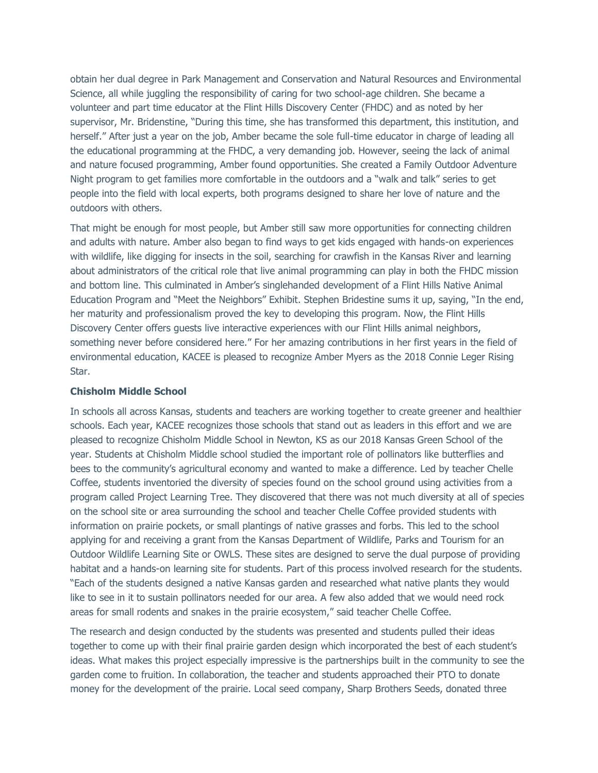obtain her dual degree in Park Management and Conservation and Natural Resources and Environmental Science, all while juggling the responsibility of caring for two school-age children. She became a volunteer and part time educator at the Flint Hills Discovery Center (FHDC) and as noted by her supervisor, Mr. Bridenstine, "During this time, she has transformed this department, this institution, and herself." After just a year on the job, Amber became the sole full-time educator in charge of leading all the educational programming at the FHDC, a very demanding job. However, seeing the lack of animal and nature focused programming, Amber found opportunities. She created a Family Outdoor Adventure Night program to get families more comfortable in the outdoors and a "walk and talk" series to get people into the field with local experts, both programs designed to share her love of nature and the outdoors with others.

That might be enough for most people, but Amber still saw more opportunities for connecting children and adults with nature. Amber also began to find ways to get kids engaged with hands-on experiences with wildlife, like digging for insects in the soil, searching for crawfish in the Kansas River and learning about administrators of the critical role that live animal programming can play in both the FHDC mission and bottom line. This culminated in Amber's singlehanded development of a Flint Hills Native Animal Education Program and "Meet the Neighbors" Exhibit. Stephen Bridestine sums it up, saying, "In the end, her maturity and professionalism proved the key to developing this program. Now, the Flint Hills Discovery Center offers guests live interactive experiences with our Flint Hills animal neighbors, something never before considered here." For her amazing contributions in her first years in the field of environmental education, KACEE is pleased to recognize Amber Myers as the 2018 Connie Leger Rising Star.

### **Chisholm Middle School**

In schools all across Kansas, students and teachers are working together to create greener and healthier schools. Each year, KACEE recognizes those schools that stand out as leaders in this effort and we are pleased to recognize Chisholm Middle School in Newton, KS as our 2018 Kansas Green School of the year. Students at Chisholm Middle school studied the important role of pollinators like butterflies and bees to the community's agricultural economy and wanted to make a difference. Led by teacher Chelle Coffee, students inventoried the diversity of species found on the school ground using activities from a program called Project Learning Tree. They discovered that there was not much diversity at all of species on the school site or area surrounding the school and teacher Chelle Coffee provided students with information on prairie pockets, or small plantings of native grasses and forbs. This led to the school applying for and receiving a grant from the Kansas Department of Wildlife, Parks and Tourism for an Outdoor Wildlife Learning Site or OWLS. These sites are designed to serve the dual purpose of providing habitat and a hands-on learning site for students. Part of this process involved research for the students. "Each of the students designed a native Kansas garden and researched what native plants they would like to see in it to sustain pollinators needed for our area. A few also added that we would need rock areas for small rodents and snakes in the prairie ecosystem," said teacher Chelle Coffee.

The research and design conducted by the students was presented and students pulled their ideas together to come up with their final prairie garden design which incorporated the best of each student's ideas. What makes this project especially impressive is the partnerships built in the community to see the garden come to fruition. In collaboration, the teacher and students approached their PTO to donate money for the development of the prairie. Local seed company, Sharp Brothers Seeds, donated three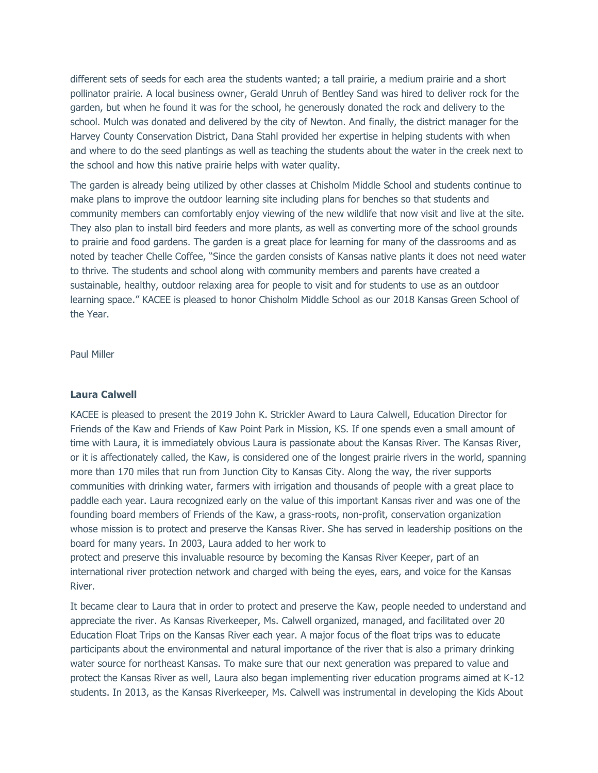different sets of seeds for each area the students wanted; a tall prairie, a medium prairie and a short pollinator prairie. A local business owner, Gerald Unruh of Bentley Sand was hired to deliver rock for the garden, but when he found it was for the school, he generously donated the rock and delivery to the school. Mulch was donated and delivered by the city of Newton. And finally, the district manager for the Harvey County Conservation District, Dana Stahl provided her expertise in helping students with when and where to do the seed plantings as well as teaching the students about the water in the creek next to the school and how this native prairie helps with water quality.

The garden is already being utilized by other classes at Chisholm Middle School and students continue to make plans to improve the outdoor learning site including plans for benches so that students and community members can comfortably enjoy viewing of the new wildlife that now visit and live at the site. They also plan to install bird feeders and more plants, as well as converting more of the school grounds to prairie and food gardens. The garden is a great place for learning for many of the classrooms and as noted by teacher Chelle Coffee, "Since the garden consists of Kansas native plants it does not need water to thrive. The students and school along with community members and parents have created a sustainable, healthy, outdoor relaxing area for people to visit and for students to use as an outdoor learning space." KACEE is pleased to honor Chisholm Middle School as our 2018 Kansas Green School of the Year.

Paul Miller

### **Laura Calwell**

KACEE is pleased to present the 2019 John K. Strickler Award to Laura Calwell, Education Director for Friends of the Kaw and Friends of Kaw Point Park in Mission, KS. If one spends even a small amount of time with Laura, it is immediately obvious Laura is passionate about the Kansas River. The Kansas River, or it is affectionately called, the Kaw, is considered one of the longest prairie rivers in the world, spanning more than 170 miles that run from Junction City to Kansas City. Along the way, the river supports communities with drinking water, farmers with irrigation and thousands of people with a great place to paddle each year. Laura recognized early on the value of this important Kansas river and was one of the founding board members of Friends of the Kaw, a grass-roots, non-profit, conservation organization whose mission is to protect and preserve the Kansas River. She has served in leadership positions on the board for many years. In 2003, Laura added to her work to

protect and preserve this invaluable resource by becoming the Kansas River Keeper, part of an international river protection network and charged with being the eyes, ears, and voice for the Kansas River.

It became clear to Laura that in order to protect and preserve the Kaw, people needed to understand and appreciate the river. As Kansas Riverkeeper, Ms. Calwell organized, managed, and facilitated over 20 Education Float Trips on the Kansas River each year. A major focus of the float trips was to educate participants about the environmental and natural importance of the river that is also a primary drinking water source for northeast Kansas. To make sure that our next generation was prepared to value and protect the Kansas River as well, Laura also began implementing river education programs aimed at K-12 students. In 2013, as the Kansas Riverkeeper, Ms. Calwell was instrumental in developing the Kids About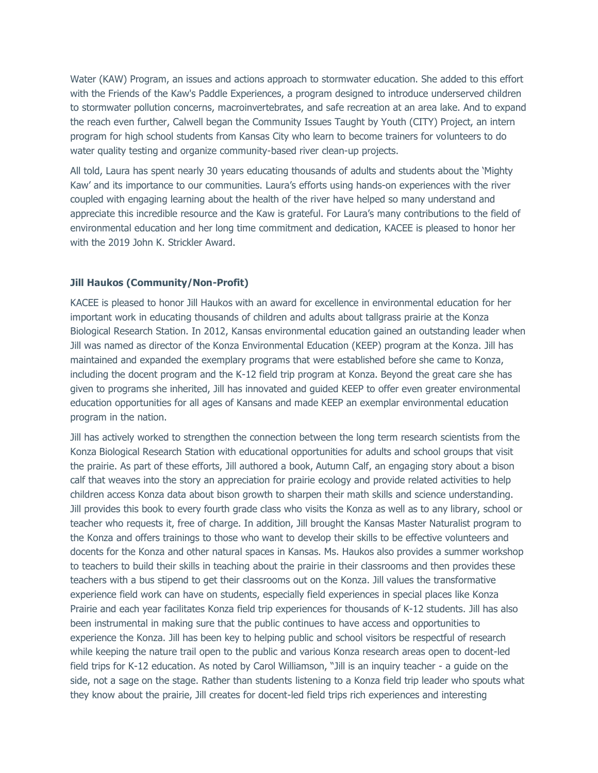Water (KAW) Program, an issues and actions approach to stormwater education. She added to this effort with the Friends of the Kaw's Paddle Experiences, a program designed to introduce underserved children to stormwater pollution concerns, macroinvertebrates, and safe recreation at an area lake. And to expand the reach even further, Calwell began the Community Issues Taught by Youth (CITY) Project, an intern program for high school students from Kansas City who learn to become trainers for volunteers to do water quality testing and organize community-based river clean-up projects.

All told, Laura has spent nearly 30 years educating thousands of adults and students about the 'Mighty Kaw' and its importance to our communities. Laura's efforts using hands-on experiences with the river coupled with engaging learning about the health of the river have helped so many understand and appreciate this incredible resource and the Kaw is grateful. For Laura's many contributions to the field of environmental education and her long time commitment and dedication, KACEE is pleased to honor her with the 2019 John K. Strickler Award.

## **Jill Haukos (Community/Non-Profit)**

KACEE is pleased to honor Jill Haukos with an award for excellence in environmental education for her important work in educating thousands of children and adults about tallgrass prairie at the Konza Biological Research Station. In 2012, Kansas environmental education gained an outstanding leader when Jill was named as director of the Konza Environmental Education (KEEP) program at the Konza. Jill has maintained and expanded the exemplary programs that were established before she came to Konza, including the docent program and the K-12 field trip program at Konza. Beyond the great care she has given to programs she inherited, Jill has innovated and guided KEEP to offer even greater environmental education opportunities for all ages of Kansans and made KEEP an exemplar environmental education program in the nation.

Jill has actively worked to strengthen the connection between the long term research scientists from the Konza Biological Research Station with educational opportunities for adults and school groups that visit the prairie. As part of these efforts, Jill authored a book, Autumn Calf, an engaging story about a bison calf that weaves into the story an appreciation for prairie ecology and provide related activities to help children access Konza data about bison growth to sharpen their math skills and science understanding. Jill provides this book to every fourth grade class who visits the Konza as well as to any library, school or teacher who requests it, free of charge. In addition, Jill brought the Kansas Master Naturalist program to the Konza and offers trainings to those who want to develop their skills to be effective volunteers and docents for the Konza and other natural spaces in Kansas. Ms. Haukos also provides a summer workshop to teachers to build their skills in teaching about the prairie in their classrooms and then provides these teachers with a bus stipend to get their classrooms out on the Konza. Jill values the transformative experience field work can have on students, especially field experiences in special places like Konza Prairie and each year facilitates Konza field trip experiences for thousands of K-12 students. Jill has also been instrumental in making sure that the public continues to have access and opportunities to experience the Konza. Jill has been key to helping public and school visitors be respectful of research while keeping the nature trail open to the public and various Konza research areas open to docent-led field trips for K-12 education. As noted by Carol Williamson, "Jill is an inquiry teacher - a guide on the side, not a sage on the stage. Rather than students listening to a Konza field trip leader who spouts what they know about the prairie, Jill creates for docent-led field trips rich experiences and interesting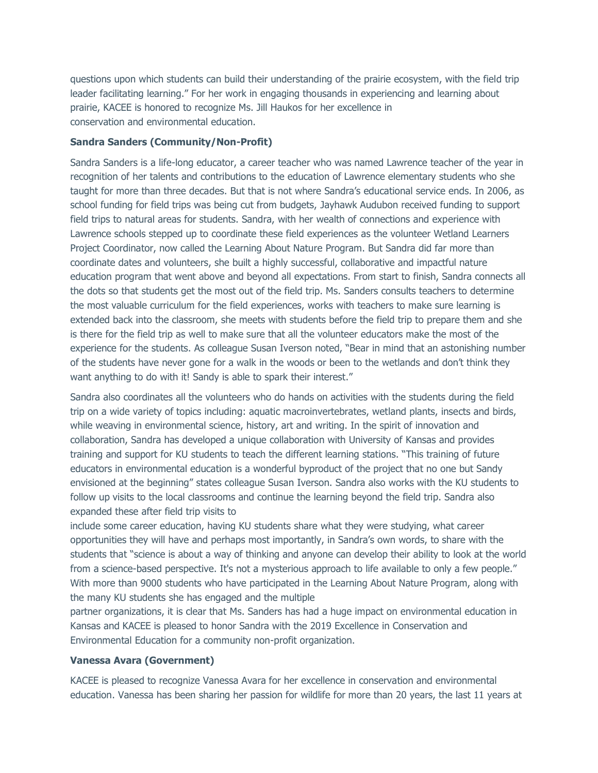questions upon which students can build their understanding of the prairie ecosystem, with the field trip leader facilitating learning." For her work in engaging thousands in experiencing and learning about prairie, KACEE is honored to recognize Ms. Jill Haukos for her excellence in conservation and environmental education.

## **Sandra Sanders (Community/Non-Profit)**

Sandra Sanders is a life-long educator, a career teacher who was named Lawrence teacher of the year in recognition of her talents and contributions to the education of Lawrence elementary students who she taught for more than three decades. But that is not where Sandra's educational service ends. In 2006, as school funding for field trips was being cut from budgets, Jayhawk Audubon received funding to support field trips to natural areas for students. Sandra, with her wealth of connections and experience with Lawrence schools stepped up to coordinate these field experiences as the volunteer Wetland Learners Project Coordinator, now called the Learning About Nature Program. But Sandra did far more than coordinate dates and volunteers, she built a highly successful, collaborative and impactful nature education program that went above and beyond all expectations. From start to finish, Sandra connects all the dots so that students get the most out of the field trip. Ms. Sanders consults teachers to determine the most valuable curriculum for the field experiences, works with teachers to make sure learning is extended back into the classroom, she meets with students before the field trip to prepare them and she is there for the field trip as well to make sure that all the volunteer educators make the most of the experience for the students. As colleague Susan Iverson noted, "Bear in mind that an astonishing number of the students have never gone for a walk in the woods or been to the wetlands and don't think they want anything to do with it! Sandy is able to spark their interest."

Sandra also coordinates all the volunteers who do hands on activities with the students during the field trip on a wide variety of topics including: aquatic macroinvertebrates, wetland plants, insects and birds, while weaving in environmental science, history, art and writing. In the spirit of innovation and collaboration, Sandra has developed a unique collaboration with University of Kansas and provides training and support for KU students to teach the different learning stations. "This training of future educators in environmental education is a wonderful byproduct of the project that no one but Sandy envisioned at the beginning" states colleague Susan Iverson. Sandra also works with the KU students to follow up visits to the local classrooms and continue the learning beyond the field trip. Sandra also expanded these after field trip visits to

include some career education, having KU students share what they were studying, what career opportunities they will have and perhaps most importantly, in Sandra's own words, to share with the students that "science is about a way of thinking and anyone can develop their ability to look at the world from a science-based perspective. It's not a mysterious approach to life available to only a few people." With more than 9000 students who have participated in the Learning About Nature Program, along with the many KU students she has engaged and the multiple

partner organizations, it is clear that Ms. Sanders has had a huge impact on environmental education in Kansas and KACEE is pleased to honor Sandra with the 2019 Excellence in Conservation and Environmental Education for a community non-profit organization.

## **Vanessa Avara (Government)**

KACEE is pleased to recognize Vanessa Avara for her excellence in conservation and environmental education. Vanessa has been sharing her passion for wildlife for more than 20 years, the last 11 years at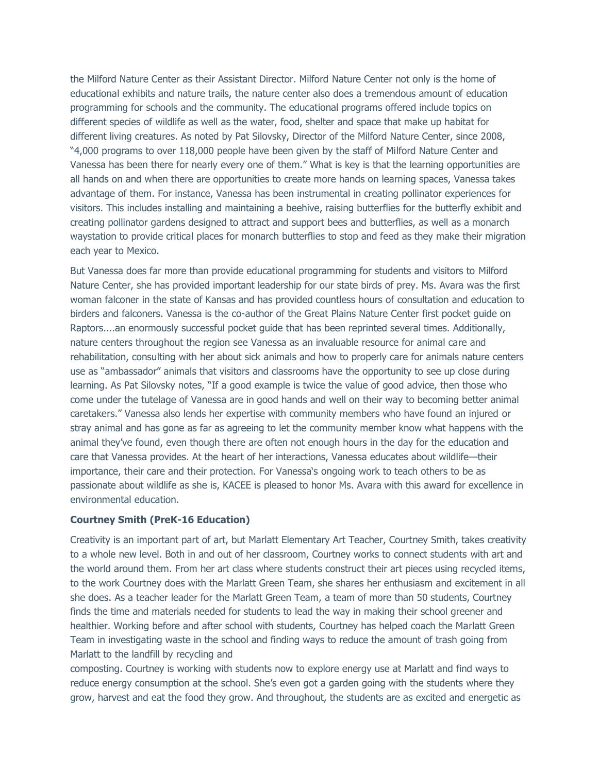the Milford Nature Center as their Assistant Director. Milford Nature Center not only is the home of educational exhibits and nature trails, the nature center also does a tremendous amount of education programming for schools and the community. The educational programs offered include topics on different species of wildlife as well as the water, food, shelter and space that make up habitat for different living creatures. As noted by Pat Silovsky, Director of the Milford Nature Center, since 2008, "4,000 programs to over 118,000 people have been given by the staff of Milford Nature Center and Vanessa has been there for nearly every one of them." What is key is that the learning opportunities are all hands on and when there are opportunities to create more hands on learning spaces, Vanessa takes advantage of them. For instance, Vanessa has been instrumental in creating pollinator experiences for visitors. This includes installing and maintaining a beehive, raising butterflies for the butterfly exhibit and creating pollinator gardens designed to attract and support bees and butterflies, as well as a monarch waystation to provide critical places for monarch butterflies to stop and feed as they make their migration each year to Mexico.

But Vanessa does far more than provide educational programming for students and visitors to Milford Nature Center, she has provided important leadership for our state birds of prey. Ms. Avara was the first woman falconer in the state of Kansas and has provided countless hours of consultation and education to birders and falconers. Vanessa is the co-author of the Great Plains Nature Center first pocket guide on Raptors....an enormously successful pocket guide that has been reprinted several times. Additionally, nature centers throughout the region see Vanessa as an invaluable resource for animal care and rehabilitation, consulting with her about sick animals and how to properly care for animals nature centers use as "ambassador" animals that visitors and classrooms have the opportunity to see up close during learning. As Pat Silovsky notes, "If a good example is twice the value of good advice, then those who come under the tutelage of Vanessa are in good hands and well on their way to becoming better animal caretakers." Vanessa also lends her expertise with community members who have found an injured or stray animal and has gone as far as agreeing to let the community member know what happens with the animal they've found, even though there are often not enough hours in the day for the education and care that Vanessa provides. At the heart of her interactions, Vanessa educates about wildlife—their importance, their care and their protection. For Vanessa's ongoing work to teach others to be as passionate about wildlife as she is, KACEE is pleased to honor Ms. Avara with this award for excellence in environmental education.

### **Courtney Smith (PreK-16 Education)**

Creativity is an important part of art, but Marlatt Elementary Art Teacher, Courtney Smith, takes creativity to a whole new level. Both in and out of her classroom, Courtney works to connect students with art and the world around them. From her art class where students construct their art pieces using recycled items, to the work Courtney does with the Marlatt Green Team, she shares her enthusiasm and excitement in all she does. As a teacher leader for the Marlatt Green Team, a team of more than 50 students, Courtney finds the time and materials needed for students to lead the way in making their school greener and healthier. Working before and after school with students, Courtney has helped coach the Marlatt Green Team in investigating waste in the school and finding ways to reduce the amount of trash going from Marlatt to the landfill by recycling and

composting. Courtney is working with students now to explore energy use at Marlatt and find ways to reduce energy consumption at the school. She's even got a garden going with the students where they grow, harvest and eat the food they grow. And throughout, the students are as excited and energetic as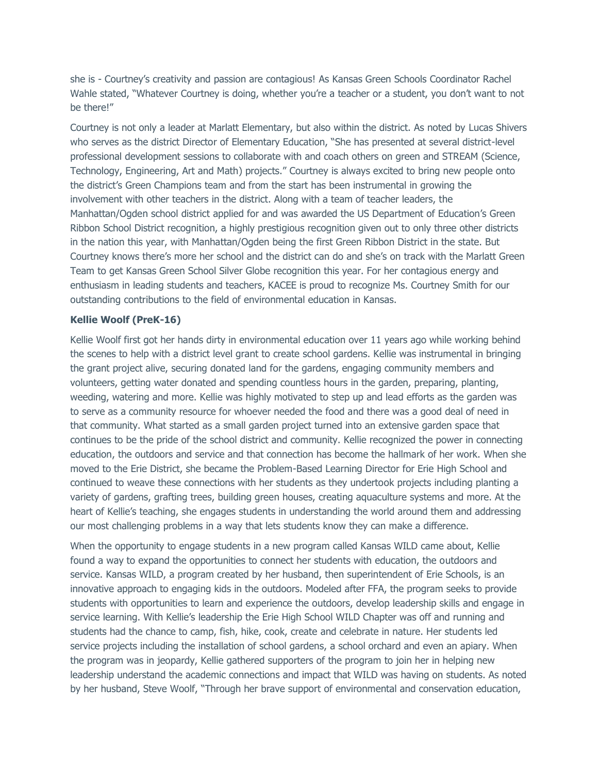she is - Courtney's creativity and passion are contagious! As Kansas Green Schools Coordinator Rachel Wahle stated, "Whatever Courtney is doing, whether you're a teacher or a student, you don't want to not be there!"

Courtney is not only a leader at Marlatt Elementary, but also within the district. As noted by Lucas Shivers who serves as the district Director of Elementary Education, "She has presented at several district-level professional development sessions to collaborate with and coach others on green and STREAM (Science, Technology, Engineering, Art and Math) projects." Courtney is always excited to bring new people onto the district's Green Champions team and from the start has been instrumental in growing the involvement with other teachers in the district. Along with a team of teacher leaders, the Manhattan/Ogden school district applied for and was awarded the US Department of Education's Green Ribbon School District recognition, a highly prestigious recognition given out to only three other districts in the nation this year, with Manhattan/Ogden being the first Green Ribbon District in the state. But Courtney knows there's more her school and the district can do and she's on track with the Marlatt Green Team to get Kansas Green School Silver Globe recognition this year. For her contagious energy and enthusiasm in leading students and teachers, KACEE is proud to recognize Ms. Courtney Smith for our outstanding contributions to the field of environmental education in Kansas.

#### **Kellie Woolf (PreK-16)**

Kellie Woolf first got her hands dirty in environmental education over 11 years ago while working behind the scenes to help with a district level grant to create school gardens. Kellie was instrumental in bringing the grant project alive, securing donated land for the gardens, engaging community members and volunteers, getting water donated and spending countless hours in the garden, preparing, planting, weeding, watering and more. Kellie was highly motivated to step up and lead efforts as the garden was to serve as a community resource for whoever needed the food and there was a good deal of need in that community. What started as a small garden project turned into an extensive garden space that continues to be the pride of the school district and community. Kellie recognized the power in connecting education, the outdoors and service and that connection has become the hallmark of her work. When she moved to the Erie District, she became the Problem-Based Learning Director for Erie High School and continued to weave these connections with her students as they undertook projects including planting a variety of gardens, grafting trees, building green houses, creating aquaculture systems and more. At the heart of Kellie's teaching, she engages students in understanding the world around them and addressing our most challenging problems in a way that lets students know they can make a difference.

When the opportunity to engage students in a new program called Kansas WILD came about, Kellie found a way to expand the opportunities to connect her students with education, the outdoors and service. Kansas WILD, a program created by her husband, then superintendent of Erie Schools, is an innovative approach to engaging kids in the outdoors. Modeled after FFA, the program seeks to provide students with opportunities to learn and experience the outdoors, develop leadership skills and engage in service learning. With Kellie's leadership the Erie High School WILD Chapter was off and running and students had the chance to camp, fish, hike, cook, create and celebrate in nature. Her students led service projects including the installation of school gardens, a school orchard and even an apiary. When the program was in jeopardy, Kellie gathered supporters of the program to join her in helping new leadership understand the academic connections and impact that WILD was having on students. As noted by her husband, Steve Woolf, "Through her brave support of environmental and conservation education,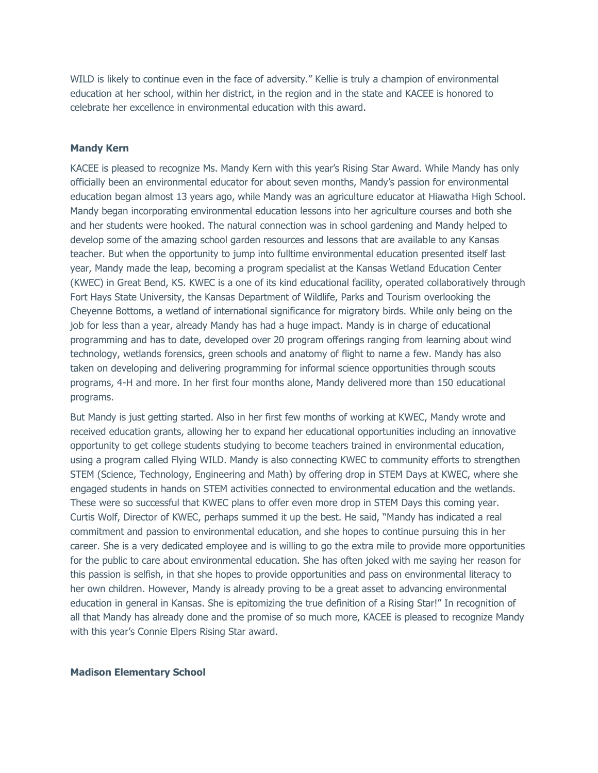WILD is likely to continue even in the face of adversity." Kellie is truly a champion of environmental education at her school, within her district, in the region and in the state and KACEE is honored to celebrate her excellence in environmental education with this award.

### **Mandy Kern**

KACEE is pleased to recognize Ms. Mandy Kern with this year's Rising Star Award. While Mandy has only officially been an environmental educator for about seven months, Mandy's passion for environmental education began almost 13 years ago, while Mandy was an agriculture educator at Hiawatha High School. Mandy began incorporating environmental education lessons into her agriculture courses and both she and her students were hooked. The natural connection was in school gardening and Mandy helped to develop some of the amazing school garden resources and lessons that are available to any Kansas teacher. But when the opportunity to jump into fulltime environmental education presented itself last year, Mandy made the leap, becoming a program specialist at the Kansas Wetland Education Center (KWEC) in Great Bend, KS. KWEC is a one of its kind educational facility, operated collaboratively through Fort Hays State University, the Kansas Department of Wildlife, Parks and Tourism overlooking the Cheyenne Bottoms, a wetland of international significance for migratory birds. While only being on the job for less than a year, already Mandy has had a huge impact. Mandy is in charge of educational programming and has to date, developed over 20 program offerings ranging from learning about wind technology, wetlands forensics, green schools and anatomy of flight to name a few. Mandy has also taken on developing and delivering programming for informal science opportunities through scouts programs, 4-H and more. In her first four months alone, Mandy delivered more than 150 educational programs.

But Mandy is just getting started. Also in her first few months of working at KWEC, Mandy wrote and received education grants, allowing her to expand her educational opportunities including an innovative opportunity to get college students studying to become teachers trained in environmental education, using a program called Flying WILD. Mandy is also connecting KWEC to community efforts to strengthen STEM (Science, Technology, Engineering and Math) by offering drop in STEM Days at KWEC, where she engaged students in hands on STEM activities connected to environmental education and the wetlands. These were so successful that KWEC plans to offer even more drop in STEM Days this coming year. Curtis Wolf, Director of KWEC, perhaps summed it up the best. He said, "Mandy has indicated a real commitment and passion to environmental education, and she hopes to continue pursuing this in her career. She is a very dedicated employee and is willing to go the extra mile to provide more opportunities for the public to care about environmental education. She has often joked with me saying her reason for this passion is selfish, in that she hopes to provide opportunities and pass on environmental literacy to her own children. However, Mandy is already proving to be a great asset to advancing environmental education in general in Kansas. She is epitomizing the true definition of a Rising Star!" In recognition of all that Mandy has already done and the promise of so much more, KACEE is pleased to recognize Mandy with this year's Connie Elpers Rising Star award.

#### **Madison Elementary School**